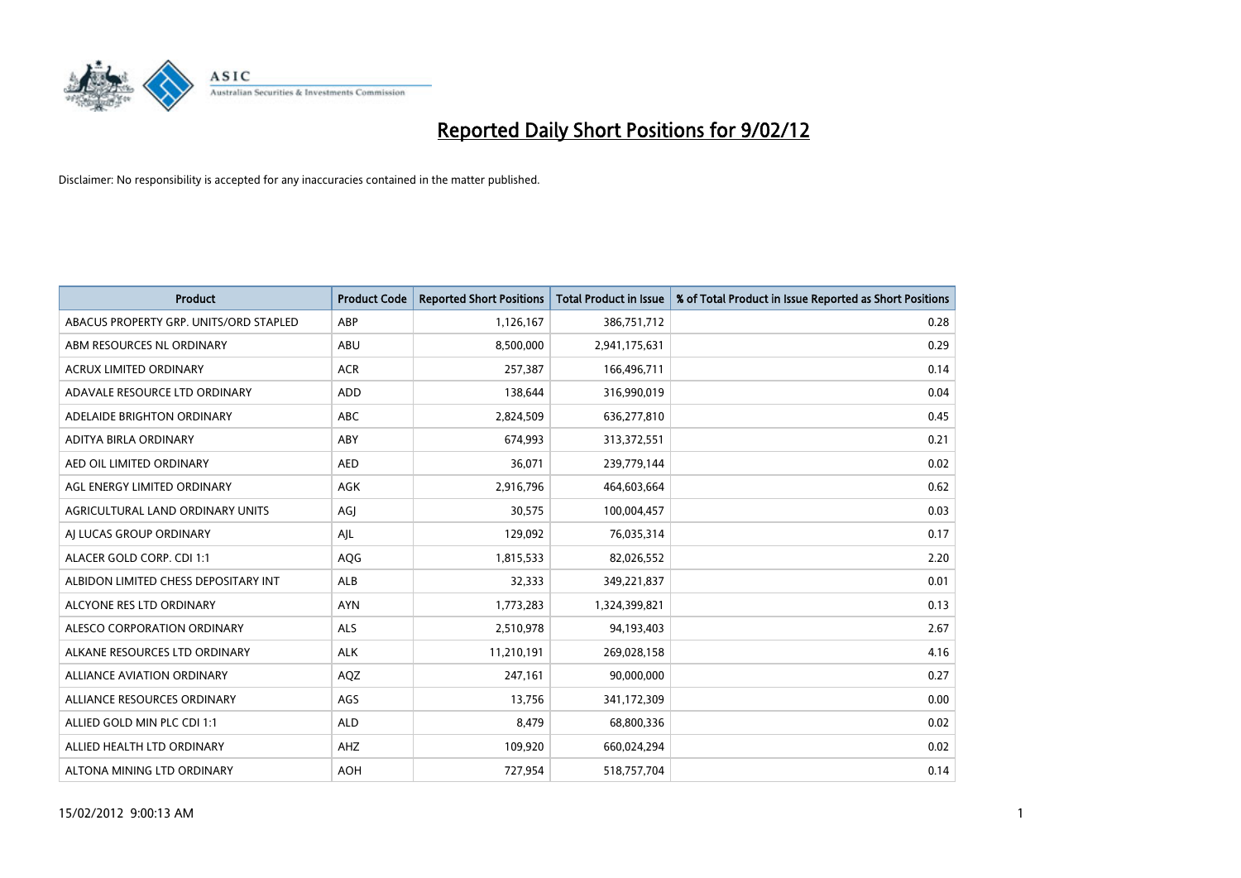

| <b>Product</b>                         | <b>Product Code</b> | <b>Reported Short Positions</b> | <b>Total Product in Issue</b> | % of Total Product in Issue Reported as Short Positions |
|----------------------------------------|---------------------|---------------------------------|-------------------------------|---------------------------------------------------------|
| ABACUS PROPERTY GRP. UNITS/ORD STAPLED | ABP                 | 1,126,167                       | 386,751,712                   | 0.28                                                    |
| ABM RESOURCES NL ORDINARY              | ABU                 | 8,500,000                       | 2,941,175,631                 | 0.29                                                    |
| <b>ACRUX LIMITED ORDINARY</b>          | <b>ACR</b>          | 257,387                         | 166,496,711                   | 0.14                                                    |
| ADAVALE RESOURCE LTD ORDINARY          | <b>ADD</b>          | 138,644                         | 316,990,019                   | 0.04                                                    |
| ADELAIDE BRIGHTON ORDINARY             | <b>ABC</b>          | 2,824,509                       | 636,277,810                   | 0.45                                                    |
| ADITYA BIRLA ORDINARY                  | ABY                 | 674,993                         | 313,372,551                   | 0.21                                                    |
| AED OIL LIMITED ORDINARY               | <b>AED</b>          | 36,071                          | 239,779,144                   | 0.02                                                    |
| AGL ENERGY LIMITED ORDINARY            | AGK                 | 2,916,796                       | 464,603,664                   | 0.62                                                    |
| AGRICULTURAL LAND ORDINARY UNITS       | AGJ                 | 30,575                          | 100,004,457                   | 0.03                                                    |
| AI LUCAS GROUP ORDINARY                | AJL                 | 129,092                         | 76,035,314                    | 0.17                                                    |
| ALACER GOLD CORP. CDI 1:1              | AQG                 | 1,815,533                       | 82,026,552                    | 2.20                                                    |
| ALBIDON LIMITED CHESS DEPOSITARY INT   | ALB                 | 32,333                          | 349,221,837                   | 0.01                                                    |
| ALCYONE RES LTD ORDINARY               | <b>AYN</b>          | 1,773,283                       | 1,324,399,821                 | 0.13                                                    |
| ALESCO CORPORATION ORDINARY            | <b>ALS</b>          | 2,510,978                       | 94,193,403                    | 2.67                                                    |
| ALKANE RESOURCES LTD ORDINARY          | <b>ALK</b>          | 11,210,191                      | 269,028,158                   | 4.16                                                    |
| <b>ALLIANCE AVIATION ORDINARY</b>      | AQZ                 | 247,161                         | 90,000,000                    | 0.27                                                    |
| ALLIANCE RESOURCES ORDINARY            | AGS                 | 13,756                          | 341,172,309                   | 0.00                                                    |
| ALLIED GOLD MIN PLC CDI 1:1            | <b>ALD</b>          | 8,479                           | 68,800,336                    | 0.02                                                    |
| ALLIED HEALTH LTD ORDINARY             | AHZ                 | 109,920                         | 660,024,294                   | 0.02                                                    |
| ALTONA MINING LTD ORDINARY             | <b>AOH</b>          | 727,954                         | 518,757,704                   | 0.14                                                    |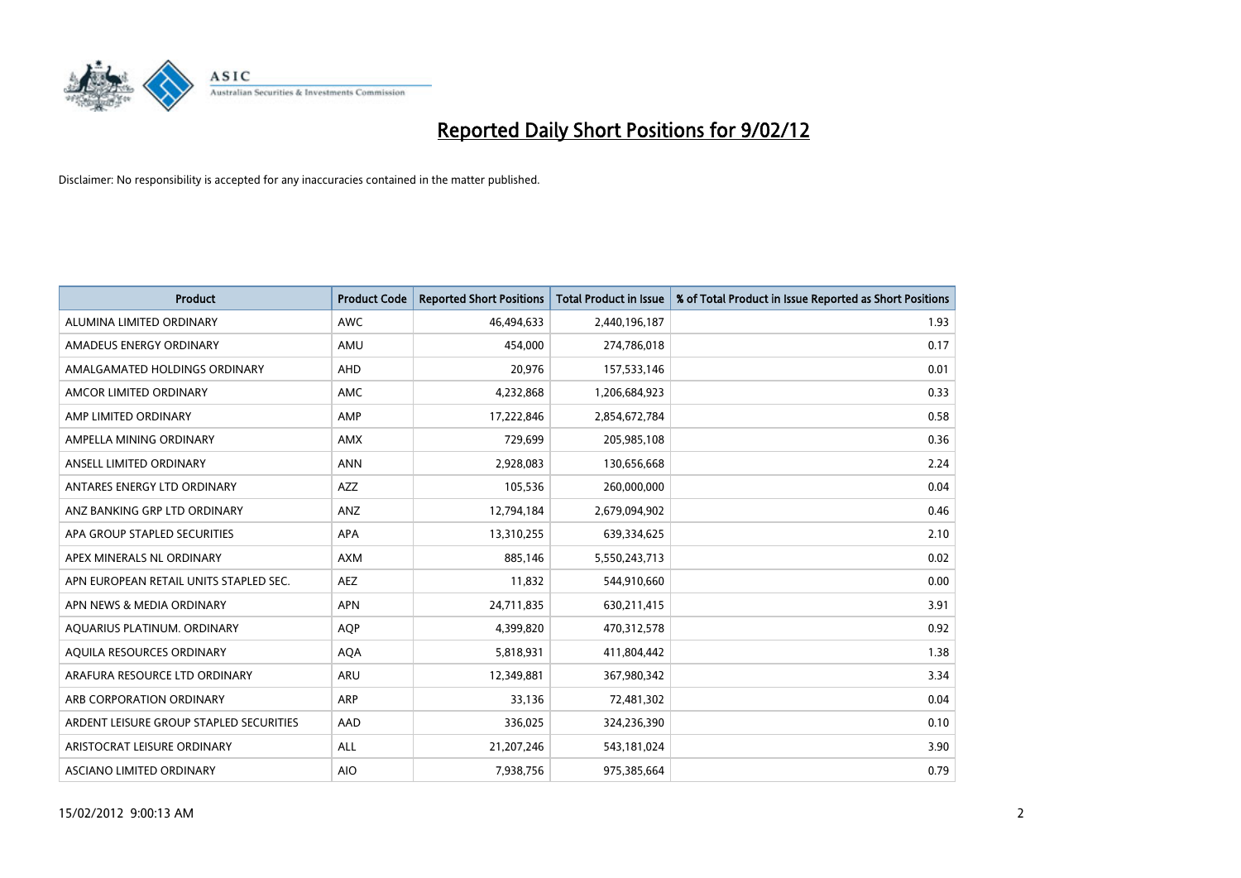

| <b>Product</b>                          | <b>Product Code</b> | <b>Reported Short Positions</b> | <b>Total Product in Issue</b> | % of Total Product in Issue Reported as Short Positions |
|-----------------------------------------|---------------------|---------------------------------|-------------------------------|---------------------------------------------------------|
| ALUMINA LIMITED ORDINARY                | <b>AWC</b>          | 46,494,633                      | 2,440,196,187                 | 1.93                                                    |
| AMADEUS ENERGY ORDINARY                 | AMU                 | 454,000                         | 274,786,018                   | 0.17                                                    |
| AMALGAMATED HOLDINGS ORDINARY           | AHD                 | 20,976                          | 157,533,146                   | 0.01                                                    |
| AMCOR LIMITED ORDINARY                  | <b>AMC</b>          | 4,232,868                       | 1,206,684,923                 | 0.33                                                    |
| AMP LIMITED ORDINARY                    | AMP                 | 17,222,846                      | 2,854,672,784                 | 0.58                                                    |
| AMPELLA MINING ORDINARY                 | <b>AMX</b>          | 729,699                         | 205,985,108                   | 0.36                                                    |
| ANSELL LIMITED ORDINARY                 | <b>ANN</b>          | 2,928,083                       | 130,656,668                   | 2.24                                                    |
| ANTARES ENERGY LTD ORDINARY             | AZZ                 | 105,536                         | 260,000,000                   | 0.04                                                    |
| ANZ BANKING GRP LTD ORDINARY            | ANZ                 | 12,794,184                      | 2,679,094,902                 | 0.46                                                    |
| APA GROUP STAPLED SECURITIES            | <b>APA</b>          | 13,310,255                      | 639,334,625                   | 2.10                                                    |
| APEX MINERALS NL ORDINARY               | <b>AXM</b>          | 885,146                         | 5,550,243,713                 | 0.02                                                    |
| APN EUROPEAN RETAIL UNITS STAPLED SEC.  | AEZ                 | 11,832                          | 544,910,660                   | 0.00                                                    |
| APN NEWS & MEDIA ORDINARY               | <b>APN</b>          | 24,711,835                      | 630,211,415                   | 3.91                                                    |
| AQUARIUS PLATINUM. ORDINARY             | <b>AOP</b>          | 4,399,820                       | 470,312,578                   | 0.92                                                    |
| AQUILA RESOURCES ORDINARY               | <b>AQA</b>          | 5,818,931                       | 411,804,442                   | 1.38                                                    |
| ARAFURA RESOURCE LTD ORDINARY           | <b>ARU</b>          | 12,349,881                      | 367,980,342                   | 3.34                                                    |
| ARB CORPORATION ORDINARY                | <b>ARP</b>          | 33,136                          | 72,481,302                    | 0.04                                                    |
| ARDENT LEISURE GROUP STAPLED SECURITIES | AAD                 | 336,025                         | 324,236,390                   | 0.10                                                    |
| ARISTOCRAT LEISURE ORDINARY             | ALL                 | 21,207,246                      | 543,181,024                   | 3.90                                                    |
| ASCIANO LIMITED ORDINARY                | <b>AIO</b>          | 7,938,756                       | 975,385,664                   | 0.79                                                    |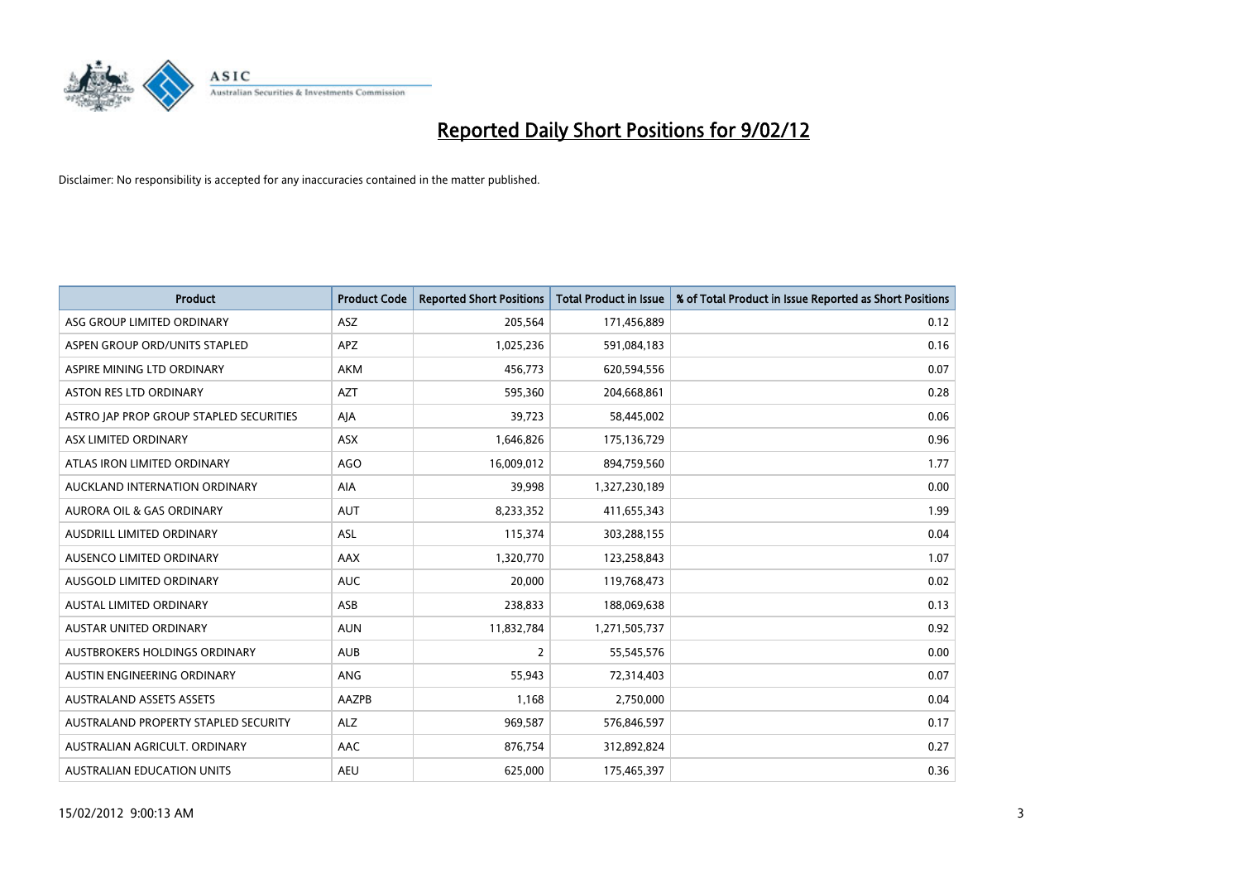

| <b>Product</b>                          | <b>Product Code</b> | <b>Reported Short Positions</b> | <b>Total Product in Issue</b> | % of Total Product in Issue Reported as Short Positions |
|-----------------------------------------|---------------------|---------------------------------|-------------------------------|---------------------------------------------------------|
| ASG GROUP LIMITED ORDINARY              | ASZ                 | 205,564                         | 171,456,889                   | 0.12                                                    |
| ASPEN GROUP ORD/UNITS STAPLED           | <b>APZ</b>          | 1,025,236                       | 591,084,183                   | 0.16                                                    |
| ASPIRE MINING LTD ORDINARY              | AKM                 | 456,773                         | 620,594,556                   | 0.07                                                    |
| ASTON RES LTD ORDINARY                  | <b>AZT</b>          | 595,360                         | 204,668,861                   | 0.28                                                    |
| ASTRO JAP PROP GROUP STAPLED SECURITIES | AJA                 | 39,723                          | 58,445,002                    | 0.06                                                    |
| ASX LIMITED ORDINARY                    | ASX                 | 1,646,826                       | 175,136,729                   | 0.96                                                    |
| ATLAS IRON LIMITED ORDINARY             | <b>AGO</b>          | 16,009,012                      | 894,759,560                   | 1.77                                                    |
| AUCKLAND INTERNATION ORDINARY           | AIA                 | 39,998                          | 1,327,230,189                 | 0.00                                                    |
| <b>AURORA OIL &amp; GAS ORDINARY</b>    | <b>AUT</b>          | 8,233,352                       | 411,655,343                   | 1.99                                                    |
| AUSDRILL LIMITED ORDINARY               | <b>ASL</b>          | 115,374                         | 303,288,155                   | 0.04                                                    |
| AUSENCO LIMITED ORDINARY                | AAX                 | 1,320,770                       | 123,258,843                   | 1.07                                                    |
| AUSGOLD LIMITED ORDINARY                | <b>AUC</b>          | 20,000                          | 119,768,473                   | 0.02                                                    |
| AUSTAL LIMITED ORDINARY                 | ASB                 | 238,833                         | 188,069,638                   | 0.13                                                    |
| <b>AUSTAR UNITED ORDINARY</b>           | <b>AUN</b>          | 11,832,784                      | 1,271,505,737                 | 0.92                                                    |
| AUSTBROKERS HOLDINGS ORDINARY           | <b>AUB</b>          | 2                               | 55,545,576                    | 0.00                                                    |
| AUSTIN ENGINEERING ORDINARY             | ANG                 | 55,943                          | 72,314,403                    | 0.07                                                    |
| <b>AUSTRALAND ASSETS ASSETS</b>         | AAZPB               | 1,168                           | 2,750,000                     | 0.04                                                    |
| AUSTRALAND PROPERTY STAPLED SECURITY    | <b>ALZ</b>          | 969,587                         | 576,846,597                   | 0.17                                                    |
| AUSTRALIAN AGRICULT, ORDINARY           | <b>AAC</b>          | 876,754                         | 312,892,824                   | 0.27                                                    |
| AUSTRALIAN EDUCATION UNITS              | <b>AEU</b>          | 625,000                         | 175,465,397                   | 0.36                                                    |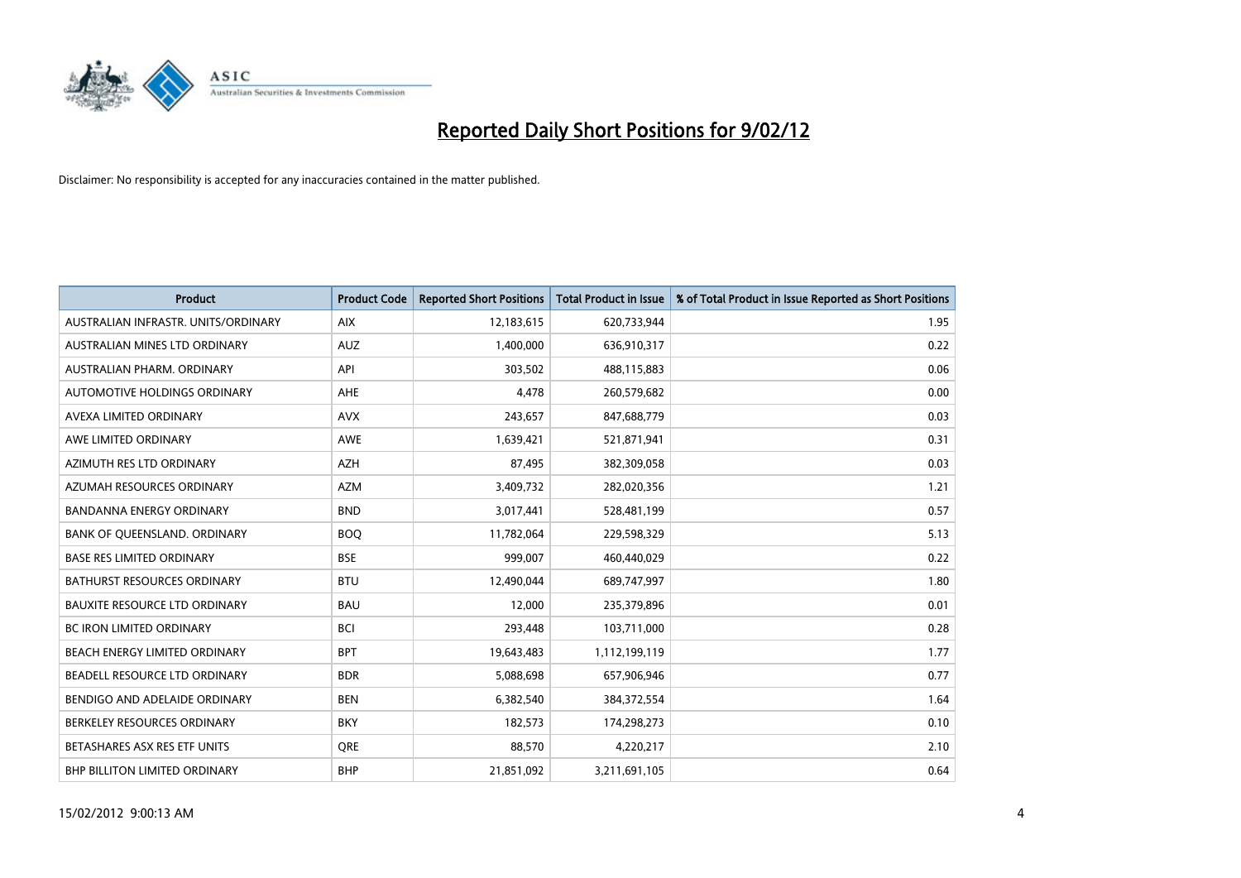

| <b>Product</b>                       | <b>Product Code</b> | <b>Reported Short Positions</b> | <b>Total Product in Issue</b> | % of Total Product in Issue Reported as Short Positions |
|--------------------------------------|---------------------|---------------------------------|-------------------------------|---------------------------------------------------------|
| AUSTRALIAN INFRASTR, UNITS/ORDINARY  | <b>AIX</b>          | 12,183,615                      | 620,733,944                   | 1.95                                                    |
| AUSTRALIAN MINES LTD ORDINARY        | <b>AUZ</b>          | 1,400,000                       | 636,910,317                   | 0.22                                                    |
| AUSTRALIAN PHARM, ORDINARY           | API                 | 303,502                         | 488,115,883                   | 0.06                                                    |
| AUTOMOTIVE HOLDINGS ORDINARY         | AHE                 | 4,478                           | 260,579,682                   | 0.00                                                    |
| AVEXA LIMITED ORDINARY               | <b>AVX</b>          | 243,657                         | 847,688,779                   | 0.03                                                    |
| AWE LIMITED ORDINARY                 | <b>AWE</b>          | 1,639,421                       | 521,871,941                   | 0.31                                                    |
| AZIMUTH RES LTD ORDINARY             | AZH                 | 87,495                          | 382,309,058                   | 0.03                                                    |
| AZUMAH RESOURCES ORDINARY            | <b>AZM</b>          | 3,409,732                       | 282,020,356                   | 1.21                                                    |
| <b>BANDANNA ENERGY ORDINARY</b>      | <b>BND</b>          | 3,017,441                       | 528,481,199                   | 0.57                                                    |
| BANK OF QUEENSLAND. ORDINARY         | <b>BOQ</b>          | 11,782,064                      | 229,598,329                   | 5.13                                                    |
| <b>BASE RES LIMITED ORDINARY</b>     | <b>BSE</b>          | 999,007                         | 460,440,029                   | 0.22                                                    |
| <b>BATHURST RESOURCES ORDINARY</b>   | <b>BTU</b>          | 12,490,044                      | 689,747,997                   | 1.80                                                    |
| <b>BAUXITE RESOURCE LTD ORDINARY</b> | <b>BAU</b>          | 12,000                          | 235,379,896                   | 0.01                                                    |
| <b>BC IRON LIMITED ORDINARY</b>      | <b>BCI</b>          | 293,448                         | 103,711,000                   | 0.28                                                    |
| BEACH ENERGY LIMITED ORDINARY        | <b>BPT</b>          | 19,643,483                      | 1,112,199,119                 | 1.77                                                    |
| BEADELL RESOURCE LTD ORDINARY        | <b>BDR</b>          | 5,088,698                       | 657,906,946                   | 0.77                                                    |
| BENDIGO AND ADELAIDE ORDINARY        | <b>BEN</b>          | 6,382,540                       | 384, 372, 554                 | 1.64                                                    |
| BERKELEY RESOURCES ORDINARY          | <b>BKY</b>          | 182,573                         | 174,298,273                   | 0.10                                                    |
| BETASHARES ASX RES ETF UNITS         | <b>ORE</b>          | 88,570                          | 4,220,217                     | 2.10                                                    |
| BHP BILLITON LIMITED ORDINARY        | <b>BHP</b>          | 21,851,092                      | 3,211,691,105                 | 0.64                                                    |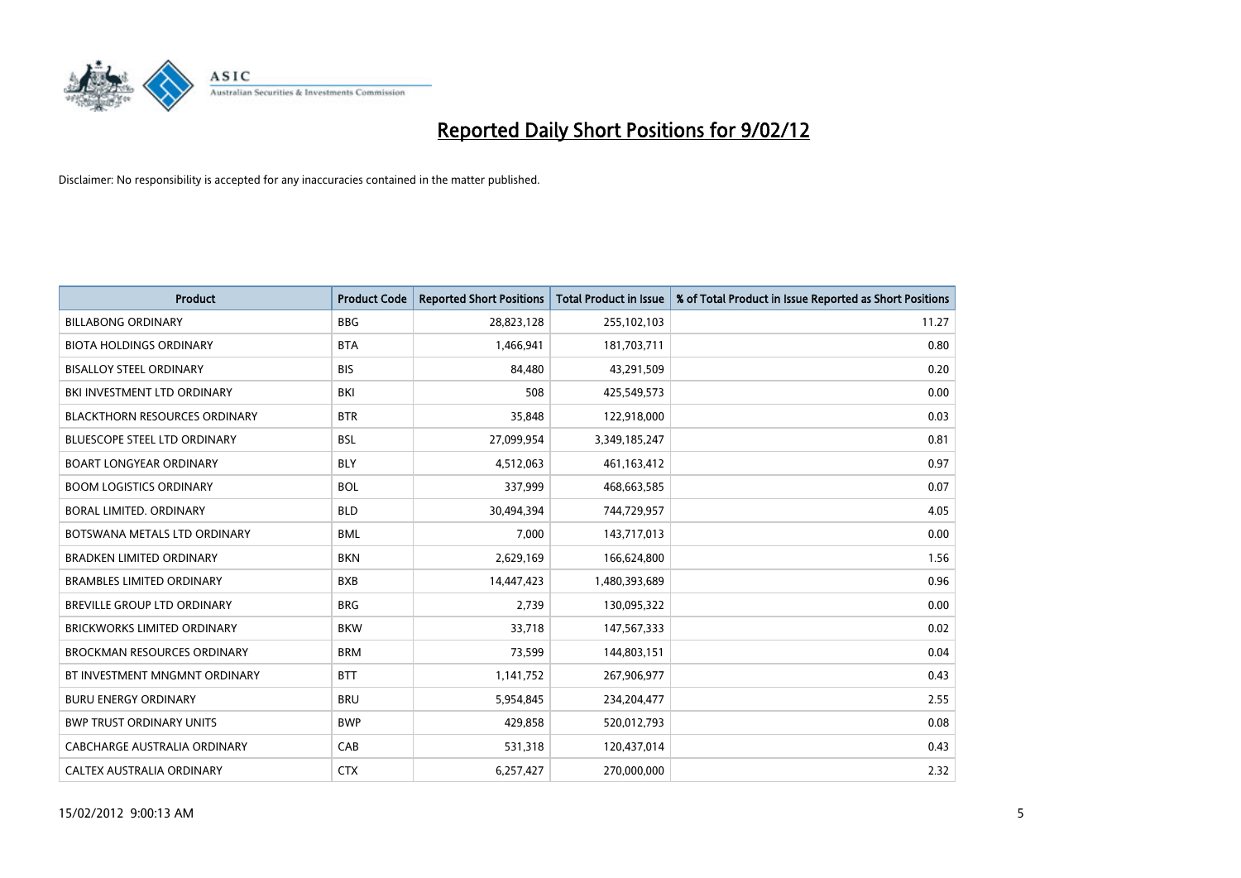

| <b>Product</b>                       | <b>Product Code</b> | <b>Reported Short Positions</b> | <b>Total Product in Issue</b> | % of Total Product in Issue Reported as Short Positions |
|--------------------------------------|---------------------|---------------------------------|-------------------------------|---------------------------------------------------------|
| <b>BILLABONG ORDINARY</b>            | <b>BBG</b>          | 28,823,128                      | 255,102,103                   | 11.27                                                   |
| <b>BIOTA HOLDINGS ORDINARY</b>       | <b>BTA</b>          | 1,466,941                       | 181,703,711                   | 0.80                                                    |
| <b>BISALLOY STEEL ORDINARY</b>       | <b>BIS</b>          | 84,480                          | 43,291,509                    | 0.20                                                    |
| BKI INVESTMENT LTD ORDINARY          | BKI                 | 508                             | 425,549,573                   | 0.00                                                    |
| <b>BLACKTHORN RESOURCES ORDINARY</b> | <b>BTR</b>          | 35,848                          | 122,918,000                   | 0.03                                                    |
| <b>BLUESCOPE STEEL LTD ORDINARY</b>  | <b>BSL</b>          | 27,099,954                      | 3,349,185,247                 | 0.81                                                    |
| <b>BOART LONGYEAR ORDINARY</b>       | <b>BLY</b>          | 4,512,063                       | 461,163,412                   | 0.97                                                    |
| <b>BOOM LOGISTICS ORDINARY</b>       | <b>BOL</b>          | 337,999                         | 468,663,585                   | 0.07                                                    |
| <b>BORAL LIMITED, ORDINARY</b>       | <b>BLD</b>          | 30,494,394                      | 744,729,957                   | 4.05                                                    |
| BOTSWANA METALS LTD ORDINARY         | <b>BML</b>          | 7,000                           | 143,717,013                   | 0.00                                                    |
| <b>BRADKEN LIMITED ORDINARY</b>      | <b>BKN</b>          | 2,629,169                       | 166,624,800                   | 1.56                                                    |
| <b>BRAMBLES LIMITED ORDINARY</b>     | <b>BXB</b>          | 14,447,423                      | 1,480,393,689                 | 0.96                                                    |
| <b>BREVILLE GROUP LTD ORDINARY</b>   | <b>BRG</b>          | 2,739                           | 130,095,322                   | 0.00                                                    |
| <b>BRICKWORKS LIMITED ORDINARY</b>   | <b>BKW</b>          | 33,718                          | 147,567,333                   | 0.02                                                    |
| <b>BROCKMAN RESOURCES ORDINARY</b>   | <b>BRM</b>          | 73,599                          | 144,803,151                   | 0.04                                                    |
| BT INVESTMENT MNGMNT ORDINARY        | <b>BTT</b>          | 1,141,752                       | 267,906,977                   | 0.43                                                    |
| <b>BURU ENERGY ORDINARY</b>          | <b>BRU</b>          | 5,954,845                       | 234,204,477                   | 2.55                                                    |
| <b>BWP TRUST ORDINARY UNITS</b>      | <b>BWP</b>          | 429,858                         | 520,012,793                   | 0.08                                                    |
| CABCHARGE AUSTRALIA ORDINARY         | CAB                 | 531,318                         | 120,437,014                   | 0.43                                                    |
| CALTEX AUSTRALIA ORDINARY            | <b>CTX</b>          | 6,257,427                       | 270,000,000                   | 2.32                                                    |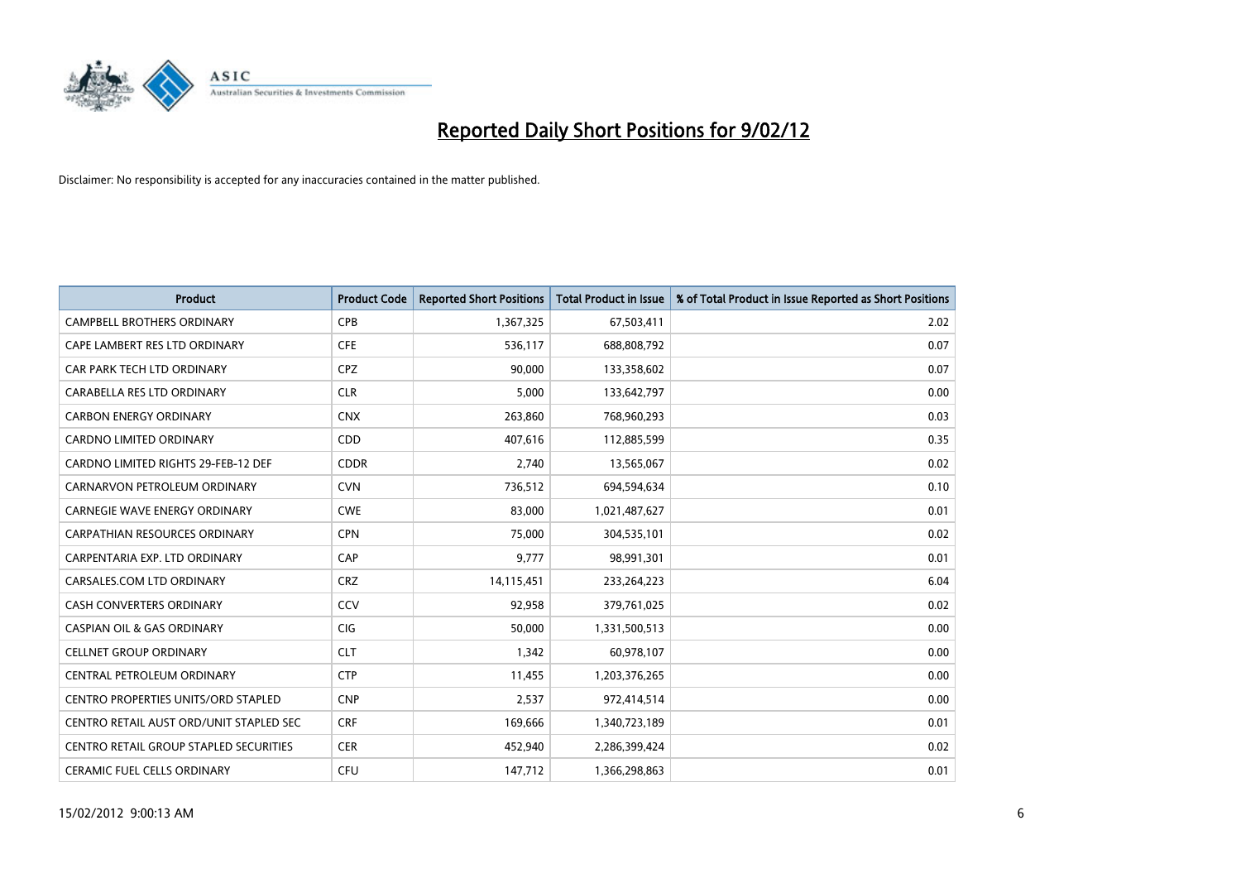

| <b>Product</b>                                | <b>Product Code</b> | <b>Reported Short Positions</b> | <b>Total Product in Issue</b> | % of Total Product in Issue Reported as Short Positions |
|-----------------------------------------------|---------------------|---------------------------------|-------------------------------|---------------------------------------------------------|
| <b>CAMPBELL BROTHERS ORDINARY</b>             | <b>CPB</b>          | 1,367,325                       | 67,503,411                    | 2.02                                                    |
| CAPE LAMBERT RES LTD ORDINARY                 | <b>CFE</b>          | 536,117                         | 688,808,792                   | 0.07                                                    |
| CAR PARK TECH LTD ORDINARY                    | <b>CPZ</b>          | 90,000                          | 133,358,602                   | 0.07                                                    |
| CARABELLA RES LTD ORDINARY                    | <b>CLR</b>          | 5,000                           | 133,642,797                   | 0.00                                                    |
| <b>CARBON ENERGY ORDINARY</b>                 | <b>CNX</b>          | 263,860                         | 768,960,293                   | 0.03                                                    |
| <b>CARDNO LIMITED ORDINARY</b>                | CDD                 | 407,616                         | 112,885,599                   | 0.35                                                    |
| CARDNO LIMITED RIGHTS 29-FEB-12 DEF           | <b>CDDR</b>         | 2,740                           | 13,565,067                    | 0.02                                                    |
| CARNARVON PETROLEUM ORDINARY                  | <b>CVN</b>          | 736,512                         | 694,594,634                   | 0.10                                                    |
| CARNEGIE WAVE ENERGY ORDINARY                 | <b>CWE</b>          | 83,000                          | 1,021,487,627                 | 0.01                                                    |
| <b>CARPATHIAN RESOURCES ORDINARY</b>          | <b>CPN</b>          | 75,000                          | 304,535,101                   | 0.02                                                    |
| CARPENTARIA EXP. LTD ORDINARY                 | CAP                 | 9,777                           | 98,991,301                    | 0.01                                                    |
| CARSALES.COM LTD ORDINARY                     | <b>CRZ</b>          | 14,115,451                      | 233,264,223                   | 6.04                                                    |
| <b>CASH CONVERTERS ORDINARY</b>               | CCV                 | 92,958                          | 379,761,025                   | 0.02                                                    |
| <b>CASPIAN OIL &amp; GAS ORDINARY</b>         | CIG                 | 50,000                          | 1,331,500,513                 | 0.00                                                    |
| <b>CELLNET GROUP ORDINARY</b>                 | <b>CLT</b>          | 1,342                           | 60,978,107                    | 0.00                                                    |
| CENTRAL PETROLEUM ORDINARY                    | <b>CTP</b>          | 11,455                          | 1,203,376,265                 | 0.00                                                    |
| <b>CENTRO PROPERTIES UNITS/ORD STAPLED</b>    | <b>CNP</b>          | 2,537                           | 972,414,514                   | 0.00                                                    |
| CENTRO RETAIL AUST ORD/UNIT STAPLED SEC       | <b>CRF</b>          | 169,666                         | 1,340,723,189                 | 0.01                                                    |
| <b>CENTRO RETAIL GROUP STAPLED SECURITIES</b> | <b>CER</b>          | 452,940                         | 2,286,399,424                 | 0.02                                                    |
| <b>CERAMIC FUEL CELLS ORDINARY</b>            | <b>CFU</b>          | 147,712                         | 1,366,298,863                 | 0.01                                                    |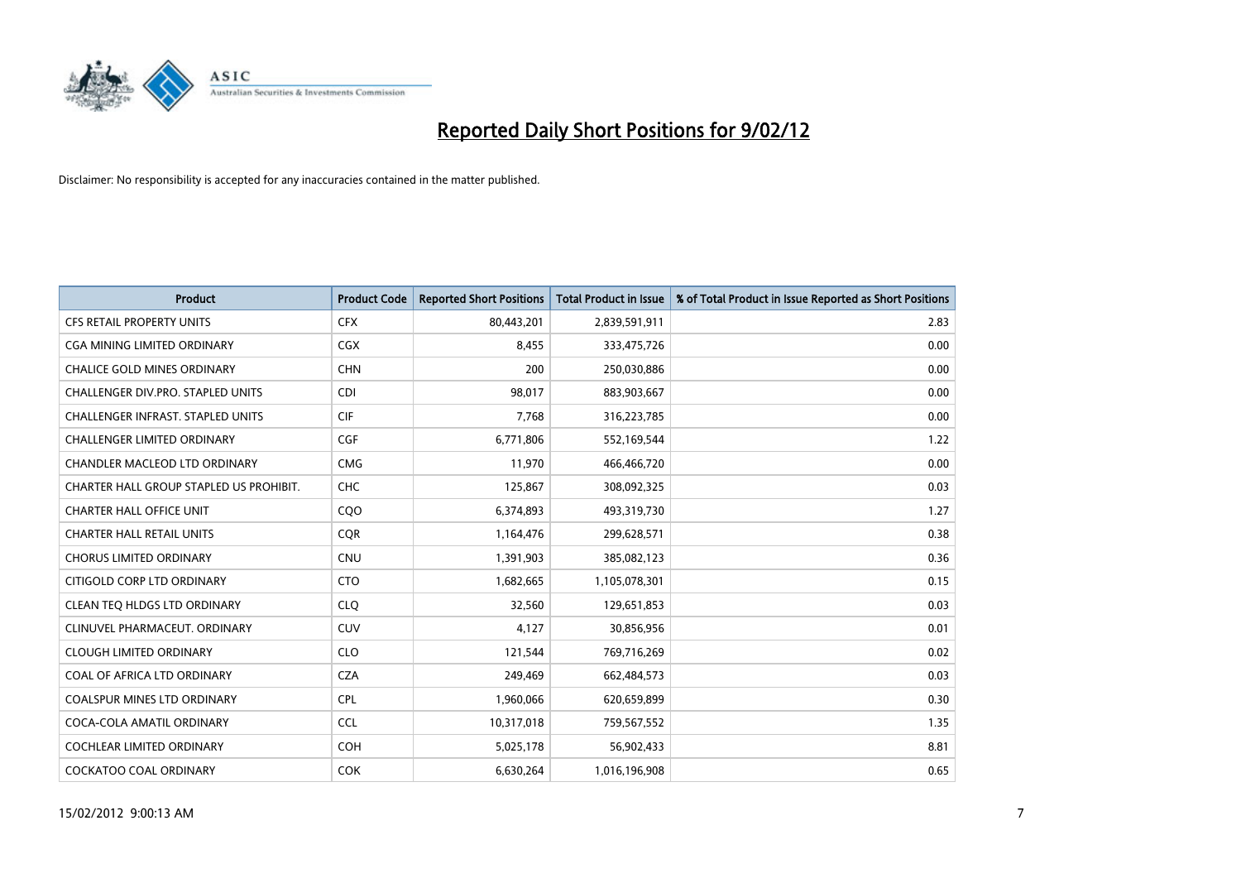

| <b>Product</b>                           | <b>Product Code</b> | <b>Reported Short Positions</b> | <b>Total Product in Issue</b> | % of Total Product in Issue Reported as Short Positions |
|------------------------------------------|---------------------|---------------------------------|-------------------------------|---------------------------------------------------------|
| <b>CFS RETAIL PROPERTY UNITS</b>         | <b>CFX</b>          | 80,443,201                      | 2,839,591,911                 | 2.83                                                    |
| <b>CGA MINING LIMITED ORDINARY</b>       | <b>CGX</b>          | 8,455                           | 333,475,726                   | 0.00                                                    |
| CHALICE GOLD MINES ORDINARY              | <b>CHN</b>          | 200                             | 250,030,886                   | 0.00                                                    |
| CHALLENGER DIV.PRO. STAPLED UNITS        | <b>CDI</b>          | 98,017                          | 883,903,667                   | 0.00                                                    |
| <b>CHALLENGER INFRAST, STAPLED UNITS</b> | <b>CIF</b>          | 7,768                           | 316,223,785                   | 0.00                                                    |
| <b>CHALLENGER LIMITED ORDINARY</b>       | <b>CGF</b>          | 6,771,806                       | 552,169,544                   | 1.22                                                    |
| CHANDLER MACLEOD LTD ORDINARY            | <b>CMG</b>          | 11,970                          | 466,466,720                   | 0.00                                                    |
| CHARTER HALL GROUP STAPLED US PROHIBIT.  | <b>CHC</b>          | 125,867                         | 308,092,325                   | 0.03                                                    |
| <b>CHARTER HALL OFFICE UNIT</b>          | CQ <sub>O</sub>     | 6,374,893                       | 493,319,730                   | 1.27                                                    |
| <b>CHARTER HALL RETAIL UNITS</b>         | <b>CQR</b>          | 1,164,476                       | 299,628,571                   | 0.38                                                    |
| CHORUS LIMITED ORDINARY                  | <b>CNU</b>          | 1,391,903                       | 385,082,123                   | 0.36                                                    |
| CITIGOLD CORP LTD ORDINARY               | <b>CTO</b>          | 1,682,665                       | 1,105,078,301                 | 0.15                                                    |
| CLEAN TEO HLDGS LTD ORDINARY             | <b>CLO</b>          | 32,560                          | 129,651,853                   | 0.03                                                    |
| CLINUVEL PHARMACEUT, ORDINARY            | <b>CUV</b>          | 4,127                           | 30,856,956                    | 0.01                                                    |
| <b>CLOUGH LIMITED ORDINARY</b>           | <b>CLO</b>          | 121,544                         | 769,716,269                   | 0.02                                                    |
| COAL OF AFRICA LTD ORDINARY              | <b>CZA</b>          | 249,469                         | 662,484,573                   | 0.03                                                    |
| COALSPUR MINES LTD ORDINARY              | <b>CPL</b>          | 1,960,066                       | 620,659,899                   | 0.30                                                    |
| COCA-COLA AMATIL ORDINARY                | <b>CCL</b>          | 10,317,018                      | 759,567,552                   | 1.35                                                    |
| <b>COCHLEAR LIMITED ORDINARY</b>         | <b>COH</b>          | 5,025,178                       | 56,902,433                    | 8.81                                                    |
| <b>COCKATOO COAL ORDINARY</b>            | <b>COK</b>          | 6,630,264                       | 1,016,196,908                 | 0.65                                                    |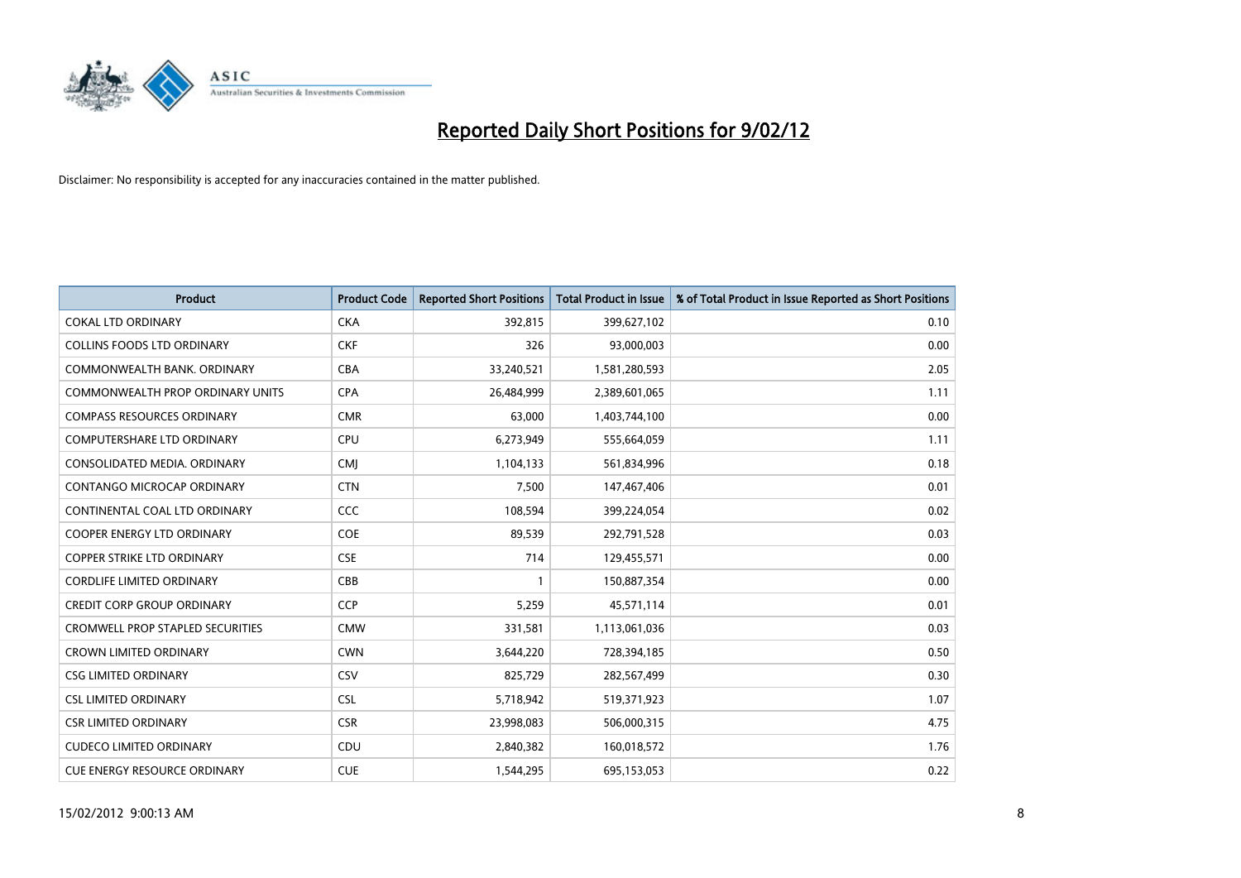

| <b>Product</b>                          | <b>Product Code</b> | <b>Reported Short Positions</b> | <b>Total Product in Issue</b> | % of Total Product in Issue Reported as Short Positions |
|-----------------------------------------|---------------------|---------------------------------|-------------------------------|---------------------------------------------------------|
| <b>COKAL LTD ORDINARY</b>               | <b>CKA</b>          | 392,815                         | 399,627,102                   | 0.10                                                    |
| COLLINS FOODS LTD ORDINARY              | <b>CKF</b>          | 326                             | 93,000,003                    | 0.00                                                    |
| COMMONWEALTH BANK, ORDINARY             | <b>CBA</b>          | 33,240,521                      | 1,581,280,593                 | 2.05                                                    |
| COMMONWEALTH PROP ORDINARY UNITS        | <b>CPA</b>          | 26,484,999                      | 2,389,601,065                 | 1.11                                                    |
| <b>COMPASS RESOURCES ORDINARY</b>       | <b>CMR</b>          | 63,000                          | 1,403,744,100                 | 0.00                                                    |
| <b>COMPUTERSHARE LTD ORDINARY</b>       | <b>CPU</b>          | 6,273,949                       | 555,664,059                   | 1.11                                                    |
| CONSOLIDATED MEDIA, ORDINARY            | <b>CMI</b>          | 1,104,133                       | 561,834,996                   | 0.18                                                    |
| CONTANGO MICROCAP ORDINARY              | <b>CTN</b>          | 7,500                           | 147,467,406                   | 0.01                                                    |
| CONTINENTAL COAL LTD ORDINARY           | <b>CCC</b>          | 108,594                         | 399,224,054                   | 0.02                                                    |
| <b>COOPER ENERGY LTD ORDINARY</b>       | <b>COE</b>          | 89,539                          | 292,791,528                   | 0.03                                                    |
| COPPER STRIKE LTD ORDINARY              | <b>CSE</b>          | 714                             | 129,455,571                   | 0.00                                                    |
| <b>CORDLIFE LIMITED ORDINARY</b>        | CBB                 | 1                               | 150,887,354                   | 0.00                                                    |
| <b>CREDIT CORP GROUP ORDINARY</b>       | <b>CCP</b>          | 5,259                           | 45,571,114                    | 0.01                                                    |
| <b>CROMWELL PROP STAPLED SECURITIES</b> | <b>CMW</b>          | 331,581                         | 1,113,061,036                 | 0.03                                                    |
| <b>CROWN LIMITED ORDINARY</b>           | <b>CWN</b>          | 3,644,220                       | 728,394,185                   | 0.50                                                    |
| <b>CSG LIMITED ORDINARY</b>             | CSV                 | 825,729                         | 282,567,499                   | 0.30                                                    |
| <b>CSL LIMITED ORDINARY</b>             | <b>CSL</b>          | 5,718,942                       | 519,371,923                   | 1.07                                                    |
| <b>CSR LIMITED ORDINARY</b>             | <b>CSR</b>          | 23,998,083                      | 506,000,315                   | 4.75                                                    |
| <b>CUDECO LIMITED ORDINARY</b>          | CDU                 | 2,840,382                       | 160,018,572                   | 1.76                                                    |
| CUE ENERGY RESOURCE ORDINARY            | <b>CUE</b>          | 1,544,295                       | 695,153,053                   | 0.22                                                    |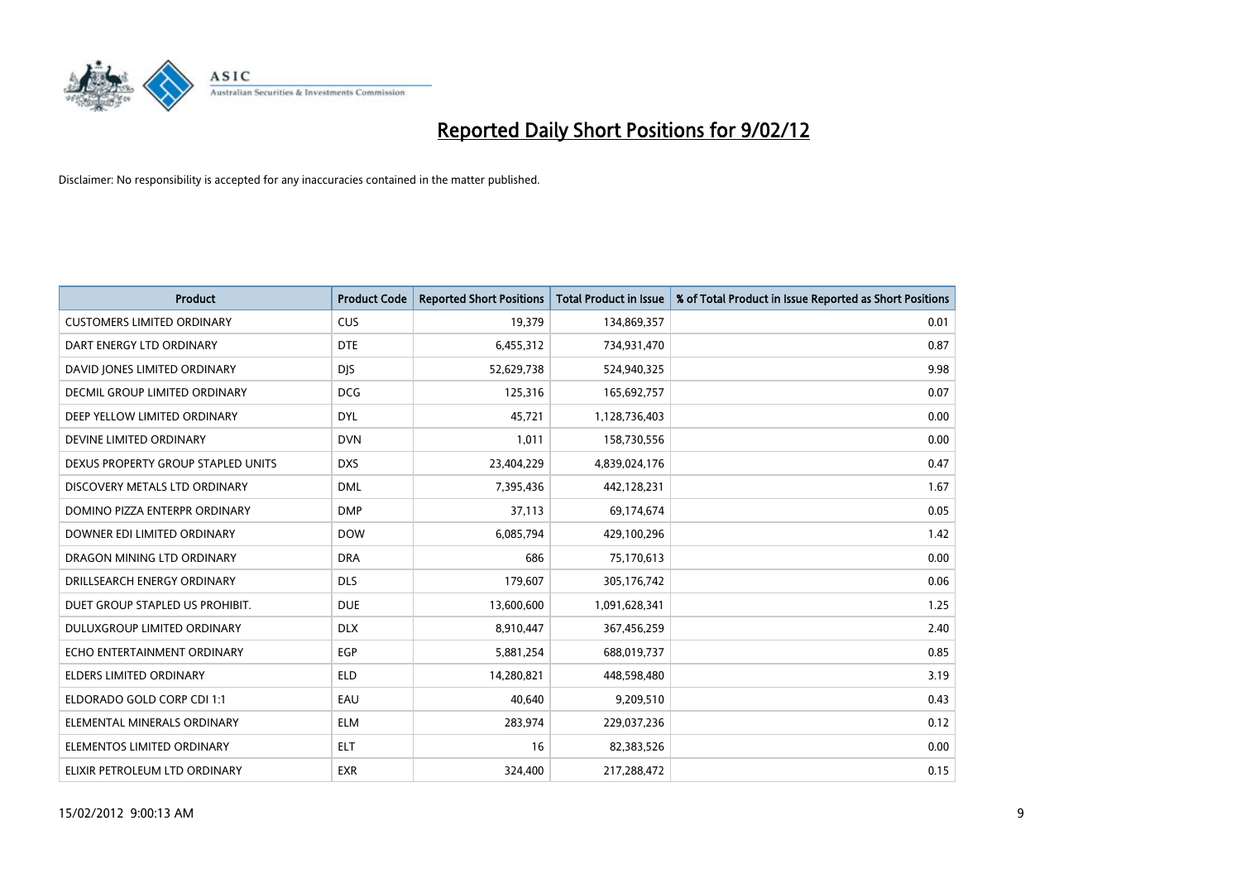

| <b>Product</b>                     | <b>Product Code</b> | <b>Reported Short Positions</b> | <b>Total Product in Issue</b> | % of Total Product in Issue Reported as Short Positions |
|------------------------------------|---------------------|---------------------------------|-------------------------------|---------------------------------------------------------|
| <b>CUSTOMERS LIMITED ORDINARY</b>  | <b>CUS</b>          | 19,379                          | 134,869,357                   | 0.01                                                    |
| DART ENERGY LTD ORDINARY           | <b>DTE</b>          | 6,455,312                       | 734,931,470                   | 0.87                                                    |
| DAVID JONES LIMITED ORDINARY       | <b>DJS</b>          | 52,629,738                      | 524,940,325                   | 9.98                                                    |
| DECMIL GROUP LIMITED ORDINARY      | <b>DCG</b>          | 125,316                         | 165,692,757                   | 0.07                                                    |
| DEEP YELLOW LIMITED ORDINARY       | <b>DYL</b>          | 45,721                          | 1,128,736,403                 | 0.00                                                    |
| DEVINE LIMITED ORDINARY            | <b>DVN</b>          | 1,011                           | 158,730,556                   | 0.00                                                    |
| DEXUS PROPERTY GROUP STAPLED UNITS | <b>DXS</b>          | 23,404,229                      | 4,839,024,176                 | 0.47                                                    |
| DISCOVERY METALS LTD ORDINARY      | <b>DML</b>          | 7,395,436                       | 442,128,231                   | 1.67                                                    |
| DOMINO PIZZA ENTERPR ORDINARY      | <b>DMP</b>          | 37,113                          | 69,174,674                    | 0.05                                                    |
| DOWNER EDI LIMITED ORDINARY        | <b>DOW</b>          | 6,085,794                       | 429,100,296                   | 1.42                                                    |
| DRAGON MINING LTD ORDINARY         | <b>DRA</b>          | 686                             | 75,170,613                    | 0.00                                                    |
| DRILLSEARCH ENERGY ORDINARY        | <b>DLS</b>          | 179,607                         | 305,176,742                   | 0.06                                                    |
| DUET GROUP STAPLED US PROHIBIT.    | <b>DUE</b>          | 13,600,600                      | 1,091,628,341                 | 1.25                                                    |
| DULUXGROUP LIMITED ORDINARY        | <b>DLX</b>          | 8,910,447                       | 367,456,259                   | 2.40                                                    |
| ECHO ENTERTAINMENT ORDINARY        | <b>EGP</b>          | 5,881,254                       | 688,019,737                   | 0.85                                                    |
| <b>ELDERS LIMITED ORDINARY</b>     | <b>ELD</b>          | 14,280,821                      | 448,598,480                   | 3.19                                                    |
| ELDORADO GOLD CORP CDI 1:1         | EAU                 | 40,640                          | 9,209,510                     | 0.43                                                    |
| ELEMENTAL MINERALS ORDINARY        | ELM                 | 283,974                         | 229,037,236                   | 0.12                                                    |
| ELEMENTOS LIMITED ORDINARY         | <b>ELT</b>          | 16                              | 82,383,526                    | 0.00                                                    |
| ELIXIR PETROLEUM LTD ORDINARY      | <b>EXR</b>          | 324,400                         | 217,288,472                   | 0.15                                                    |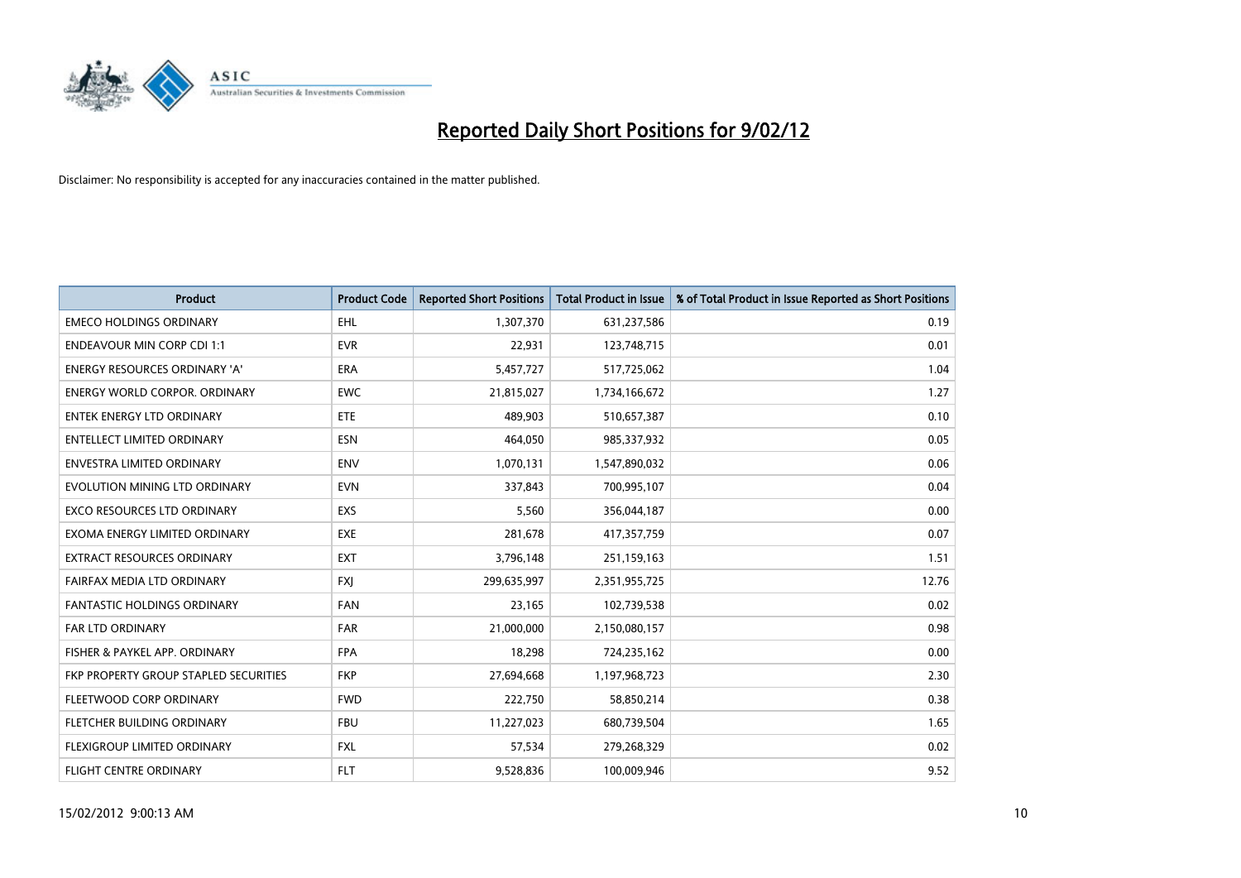

| <b>Product</b>                        | <b>Product Code</b> | <b>Reported Short Positions</b> | <b>Total Product in Issue</b> | % of Total Product in Issue Reported as Short Positions |
|---------------------------------------|---------------------|---------------------------------|-------------------------------|---------------------------------------------------------|
| <b>EMECO HOLDINGS ORDINARY</b>        | <b>EHL</b>          | 1,307,370                       | 631,237,586                   | 0.19                                                    |
| <b>ENDEAVOUR MIN CORP CDI 1:1</b>     | <b>EVR</b>          | 22,931                          | 123,748,715                   | 0.01                                                    |
| ENERGY RESOURCES ORDINARY 'A'         | <b>ERA</b>          | 5,457,727                       | 517,725,062                   | 1.04                                                    |
| <b>ENERGY WORLD CORPOR, ORDINARY</b>  | <b>EWC</b>          | 21,815,027                      | 1,734,166,672                 | 1.27                                                    |
| <b>ENTEK ENERGY LTD ORDINARY</b>      | ETE                 | 489,903                         | 510,657,387                   | 0.10                                                    |
| <b>ENTELLECT LIMITED ORDINARY</b>     | <b>ESN</b>          | 464,050                         | 985,337,932                   | 0.05                                                    |
| <b>ENVESTRA LIMITED ORDINARY</b>      | <b>ENV</b>          | 1,070,131                       | 1,547,890,032                 | 0.06                                                    |
| EVOLUTION MINING LTD ORDINARY         | <b>EVN</b>          | 337,843                         | 700,995,107                   | 0.04                                                    |
| <b>EXCO RESOURCES LTD ORDINARY</b>    | <b>EXS</b>          | 5,560                           | 356,044,187                   | 0.00                                                    |
| EXOMA ENERGY LIMITED ORDINARY         | <b>EXE</b>          | 281,678                         | 417,357,759                   | 0.07                                                    |
| EXTRACT RESOURCES ORDINARY            | <b>EXT</b>          | 3,796,148                       | 251,159,163                   | 1.51                                                    |
| FAIRFAX MEDIA LTD ORDINARY            | <b>FXI</b>          | 299,635,997                     | 2,351,955,725                 | 12.76                                                   |
| <b>FANTASTIC HOLDINGS ORDINARY</b>    | <b>FAN</b>          | 23,165                          | 102,739,538                   | 0.02                                                    |
| <b>FAR LTD ORDINARY</b>               | <b>FAR</b>          | 21,000,000                      | 2,150,080,157                 | 0.98                                                    |
| FISHER & PAYKEL APP. ORDINARY         | <b>FPA</b>          | 18,298                          | 724,235,162                   | 0.00                                                    |
| FKP PROPERTY GROUP STAPLED SECURITIES | <b>FKP</b>          | 27,694,668                      | 1,197,968,723                 | 2.30                                                    |
| FLEETWOOD CORP ORDINARY               | <b>FWD</b>          | 222,750                         | 58,850,214                    | 0.38                                                    |
| FLETCHER BUILDING ORDINARY            | <b>FBU</b>          | 11,227,023                      | 680,739,504                   | 1.65                                                    |
| FLEXIGROUP LIMITED ORDINARY           | <b>FXL</b>          | 57,534                          | 279,268,329                   | 0.02                                                    |
| <b>FLIGHT CENTRE ORDINARY</b>         | <b>FLT</b>          | 9,528,836                       | 100,009,946                   | 9.52                                                    |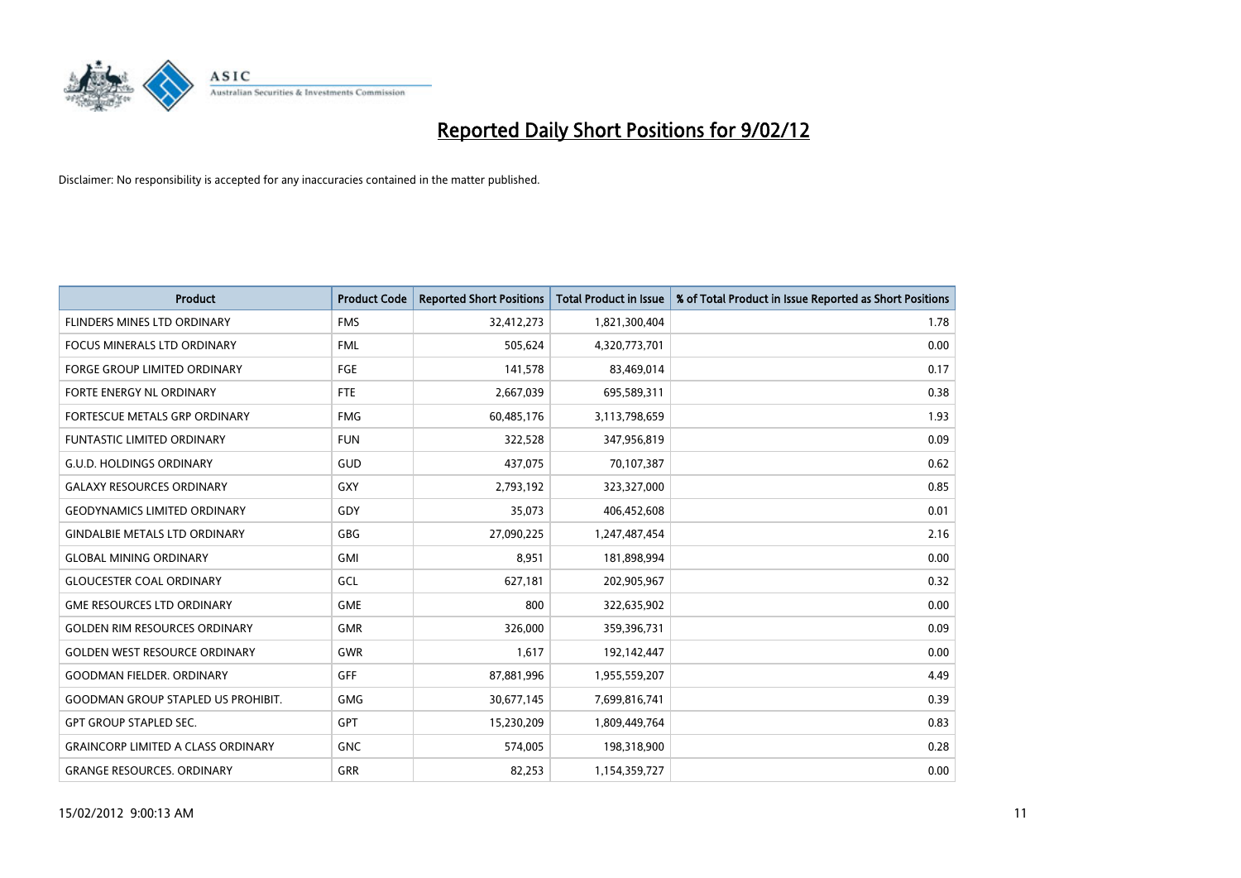

| <b>Product</b>                            | <b>Product Code</b> | <b>Reported Short Positions</b> | <b>Total Product in Issue</b> | % of Total Product in Issue Reported as Short Positions |
|-------------------------------------------|---------------------|---------------------------------|-------------------------------|---------------------------------------------------------|
| FLINDERS MINES LTD ORDINARY               | <b>FMS</b>          | 32,412,273                      | 1,821,300,404                 | 1.78                                                    |
| FOCUS MINERALS LTD ORDINARY               | <b>FML</b>          | 505,624                         | 4,320,773,701                 | 0.00                                                    |
| <b>FORGE GROUP LIMITED ORDINARY</b>       | FGE                 | 141,578                         | 83,469,014                    | 0.17                                                    |
| FORTE ENERGY NL ORDINARY                  | FTE                 | 2,667,039                       | 695,589,311                   | 0.38                                                    |
| FORTESCUE METALS GRP ORDINARY             | <b>FMG</b>          | 60,485,176                      | 3,113,798,659                 | 1.93                                                    |
| <b>FUNTASTIC LIMITED ORDINARY</b>         | <b>FUN</b>          | 322,528                         | 347,956,819                   | 0.09                                                    |
| <b>G.U.D. HOLDINGS ORDINARY</b>           | GUD                 | 437,075                         | 70,107,387                    | 0.62                                                    |
| <b>GALAXY RESOURCES ORDINARY</b>          | GXY                 | 2,793,192                       | 323,327,000                   | 0.85                                                    |
| <b>GEODYNAMICS LIMITED ORDINARY</b>       | GDY                 | 35,073                          | 406,452,608                   | 0.01                                                    |
| <b>GINDALBIE METALS LTD ORDINARY</b>      | GBG                 | 27,090,225                      | 1,247,487,454                 | 2.16                                                    |
| <b>GLOBAL MINING ORDINARY</b>             | GMI                 | 8,951                           | 181,898,994                   | 0.00                                                    |
| <b>GLOUCESTER COAL ORDINARY</b>           | GCL                 | 627,181                         | 202,905,967                   | 0.32                                                    |
| <b>GME RESOURCES LTD ORDINARY</b>         | <b>GME</b>          | 800                             | 322,635,902                   | 0.00                                                    |
| <b>GOLDEN RIM RESOURCES ORDINARY</b>      | <b>GMR</b>          | 326,000                         | 359,396,731                   | 0.09                                                    |
| <b>GOLDEN WEST RESOURCE ORDINARY</b>      | <b>GWR</b>          | 1,617                           | 192,142,447                   | 0.00                                                    |
| <b>GOODMAN FIELDER, ORDINARY</b>          | GFF                 | 87,881,996                      | 1,955,559,207                 | 4.49                                                    |
| <b>GOODMAN GROUP STAPLED US PROHIBIT.</b> | <b>GMG</b>          | 30,677,145                      | 7,699,816,741                 | 0.39                                                    |
| <b>GPT GROUP STAPLED SEC.</b>             | GPT                 | 15,230,209                      | 1,809,449,764                 | 0.83                                                    |
| <b>GRAINCORP LIMITED A CLASS ORDINARY</b> | <b>GNC</b>          | 574,005                         | 198,318,900                   | 0.28                                                    |
| <b>GRANGE RESOURCES. ORDINARY</b>         | GRR                 | 82,253                          | 1,154,359,727                 | 0.00                                                    |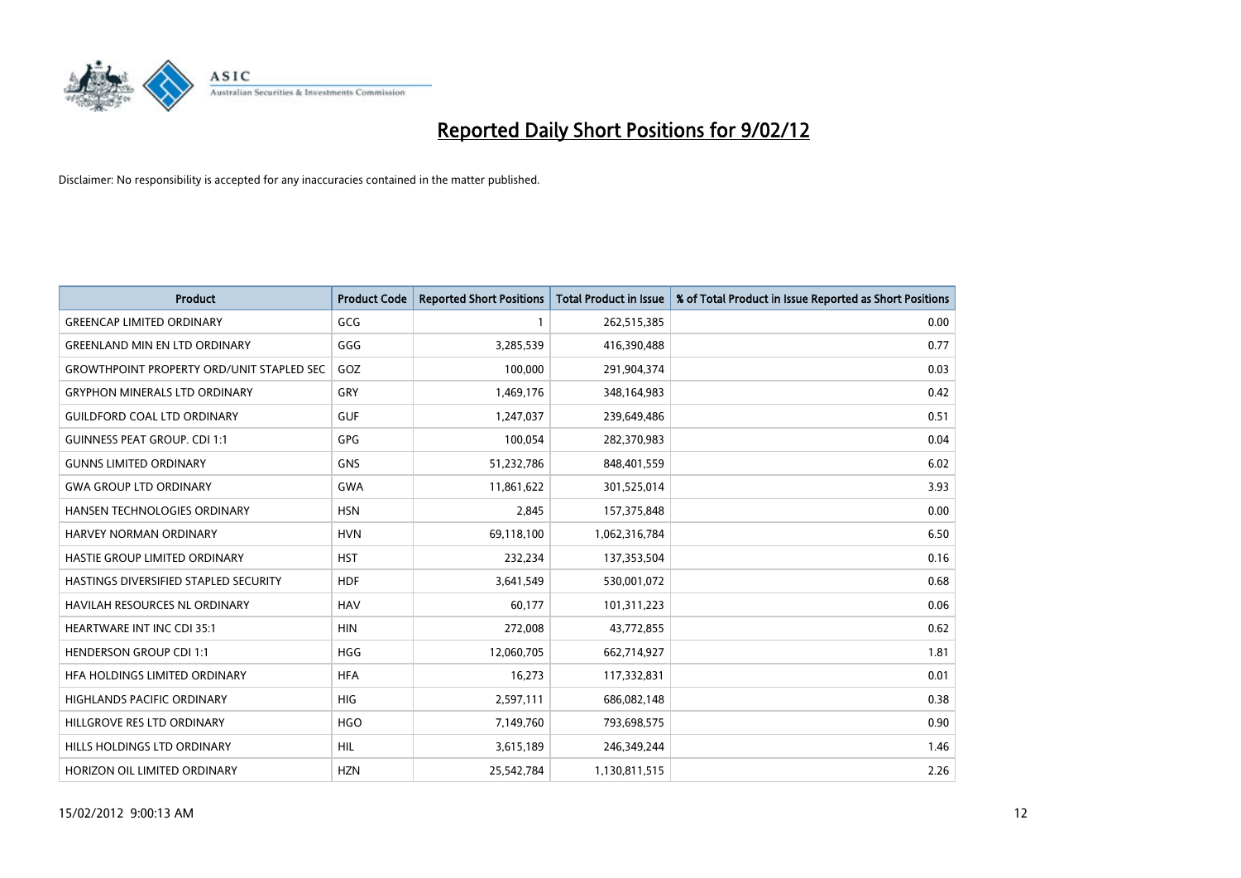

| <b>Product</b>                                   | <b>Product Code</b> | <b>Reported Short Positions</b> | <b>Total Product in Issue</b> | % of Total Product in Issue Reported as Short Positions |
|--------------------------------------------------|---------------------|---------------------------------|-------------------------------|---------------------------------------------------------|
| <b>GREENCAP LIMITED ORDINARY</b>                 | GCG                 | 1                               | 262,515,385                   | 0.00                                                    |
| <b>GREENLAND MIN EN LTD ORDINARY</b>             | GGG                 | 3,285,539                       | 416,390,488                   | 0.77                                                    |
| <b>GROWTHPOINT PROPERTY ORD/UNIT STAPLED SEC</b> | GOZ                 | 100,000                         | 291,904,374                   | 0.03                                                    |
| <b>GRYPHON MINERALS LTD ORDINARY</b>             | GRY                 | 1,469,176                       | 348,164,983                   | 0.42                                                    |
| <b>GUILDFORD COAL LTD ORDINARY</b>               | <b>GUF</b>          | 1,247,037                       | 239,649,486                   | 0.51                                                    |
| <b>GUINNESS PEAT GROUP. CDI 1:1</b>              | <b>GPG</b>          | 100,054                         | 282,370,983                   | 0.04                                                    |
| <b>GUNNS LIMITED ORDINARY</b>                    | <b>GNS</b>          | 51,232,786                      | 848,401,559                   | 6.02                                                    |
| <b>GWA GROUP LTD ORDINARY</b>                    | <b>GWA</b>          | 11,861,622                      | 301,525,014                   | 3.93                                                    |
| HANSEN TECHNOLOGIES ORDINARY                     | <b>HSN</b>          | 2,845                           | 157,375,848                   | 0.00                                                    |
| <b>HARVEY NORMAN ORDINARY</b>                    | <b>HVN</b>          | 69,118,100                      | 1,062,316,784                 | 6.50                                                    |
| HASTIE GROUP LIMITED ORDINARY                    | <b>HST</b>          | 232,234                         | 137,353,504                   | 0.16                                                    |
| HASTINGS DIVERSIFIED STAPLED SECURITY            | <b>HDF</b>          | 3,641,549                       | 530,001,072                   | 0.68                                                    |
| HAVILAH RESOURCES NL ORDINARY                    | <b>HAV</b>          | 60,177                          | 101,311,223                   | 0.06                                                    |
| <b>HEARTWARE INT INC CDI 35:1</b>                | <b>HIN</b>          | 272,008                         | 43,772,855                    | 0.62                                                    |
| <b>HENDERSON GROUP CDI 1:1</b>                   | <b>HGG</b>          | 12,060,705                      | 662,714,927                   | 1.81                                                    |
| HFA HOLDINGS LIMITED ORDINARY                    | <b>HFA</b>          | 16,273                          | 117,332,831                   | 0.01                                                    |
| HIGHLANDS PACIFIC ORDINARY                       | HIG                 | 2,597,111                       | 686,082,148                   | 0.38                                                    |
| HILLGROVE RES LTD ORDINARY                       | <b>HGO</b>          | 7,149,760                       | 793,698,575                   | 0.90                                                    |
| HILLS HOLDINGS LTD ORDINARY                      | <b>HIL</b>          | 3,615,189                       | 246,349,244                   | 1.46                                                    |
| HORIZON OIL LIMITED ORDINARY                     | <b>HZN</b>          | 25,542,784                      | 1,130,811,515                 | 2.26                                                    |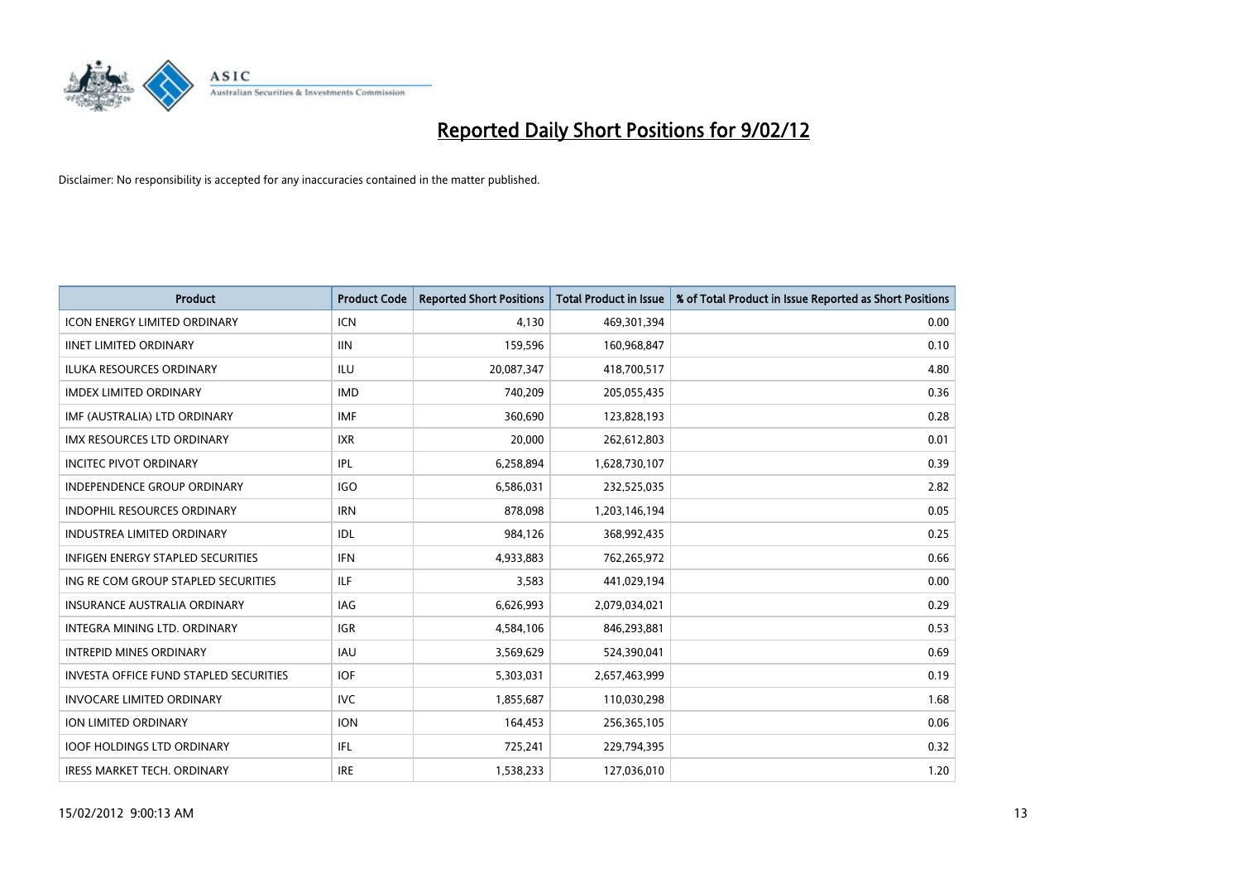

| Product                                       | <b>Product Code</b> | <b>Reported Short Positions</b> | <b>Total Product in Issue</b> | % of Total Product in Issue Reported as Short Positions |
|-----------------------------------------------|---------------------|---------------------------------|-------------------------------|---------------------------------------------------------|
| <b>ICON ENERGY LIMITED ORDINARY</b>           | <b>ICN</b>          | 4.130                           | 469,301,394                   | 0.00                                                    |
| <b>IINET LIMITED ORDINARY</b>                 | <b>IIN</b>          | 159,596                         | 160,968,847                   | 0.10                                                    |
| <b>ILUKA RESOURCES ORDINARY</b>               | <b>ILU</b>          | 20,087,347                      | 418,700,517                   | 4.80                                                    |
| <b>IMDEX LIMITED ORDINARY</b>                 | <b>IMD</b>          | 740,209                         | 205,055,435                   | 0.36                                                    |
| IMF (AUSTRALIA) LTD ORDINARY                  | <b>IMF</b>          | 360,690                         | 123,828,193                   | 0.28                                                    |
| <b>IMX RESOURCES LTD ORDINARY</b>             | <b>IXR</b>          | 20,000                          | 262,612,803                   | 0.01                                                    |
| <b>INCITEC PIVOT ORDINARY</b>                 | IPL                 | 6,258,894                       | 1,628,730,107                 | 0.39                                                    |
| <b>INDEPENDENCE GROUP ORDINARY</b>            | <b>IGO</b>          | 6,586,031                       | 232,525,035                   | 2.82                                                    |
| <b>INDOPHIL RESOURCES ORDINARY</b>            | <b>IRN</b>          | 878,098                         | 1,203,146,194                 | 0.05                                                    |
| <b>INDUSTREA LIMITED ORDINARY</b>             | <b>IDL</b>          | 984,126                         | 368,992,435                   | 0.25                                                    |
| INFIGEN ENERGY STAPLED SECURITIES             | <b>IFN</b>          | 4,933,883                       | 762,265,972                   | 0.66                                                    |
| ING RE COM GROUP STAPLED SECURITIES           | ILF.                | 3,583                           | 441,029,194                   | 0.00                                                    |
| INSURANCE AUSTRALIA ORDINARY                  | IAG                 | 6,626,993                       | 2,079,034,021                 | 0.29                                                    |
| INTEGRA MINING LTD, ORDINARY                  | IGR                 | 4,584,106                       | 846,293,881                   | 0.53                                                    |
| <b>INTREPID MINES ORDINARY</b>                | <b>IAU</b>          | 3,569,629                       | 524,390,041                   | 0.69                                                    |
| <b>INVESTA OFFICE FUND STAPLED SECURITIES</b> | <b>IOF</b>          | 5,303,031                       | 2,657,463,999                 | 0.19                                                    |
| <b>INVOCARE LIMITED ORDINARY</b>              | <b>IVC</b>          | 1,855,687                       | 110,030,298                   | 1.68                                                    |
| ION LIMITED ORDINARY                          | <b>ION</b>          | 164,453                         | 256,365,105                   | 0.06                                                    |
| <b>IOOF HOLDINGS LTD ORDINARY</b>             | IFL                 | 725,241                         | 229,794,395                   | 0.32                                                    |
| <b>IRESS MARKET TECH. ORDINARY</b>            | <b>IRE</b>          | 1,538,233                       | 127,036,010                   | 1.20                                                    |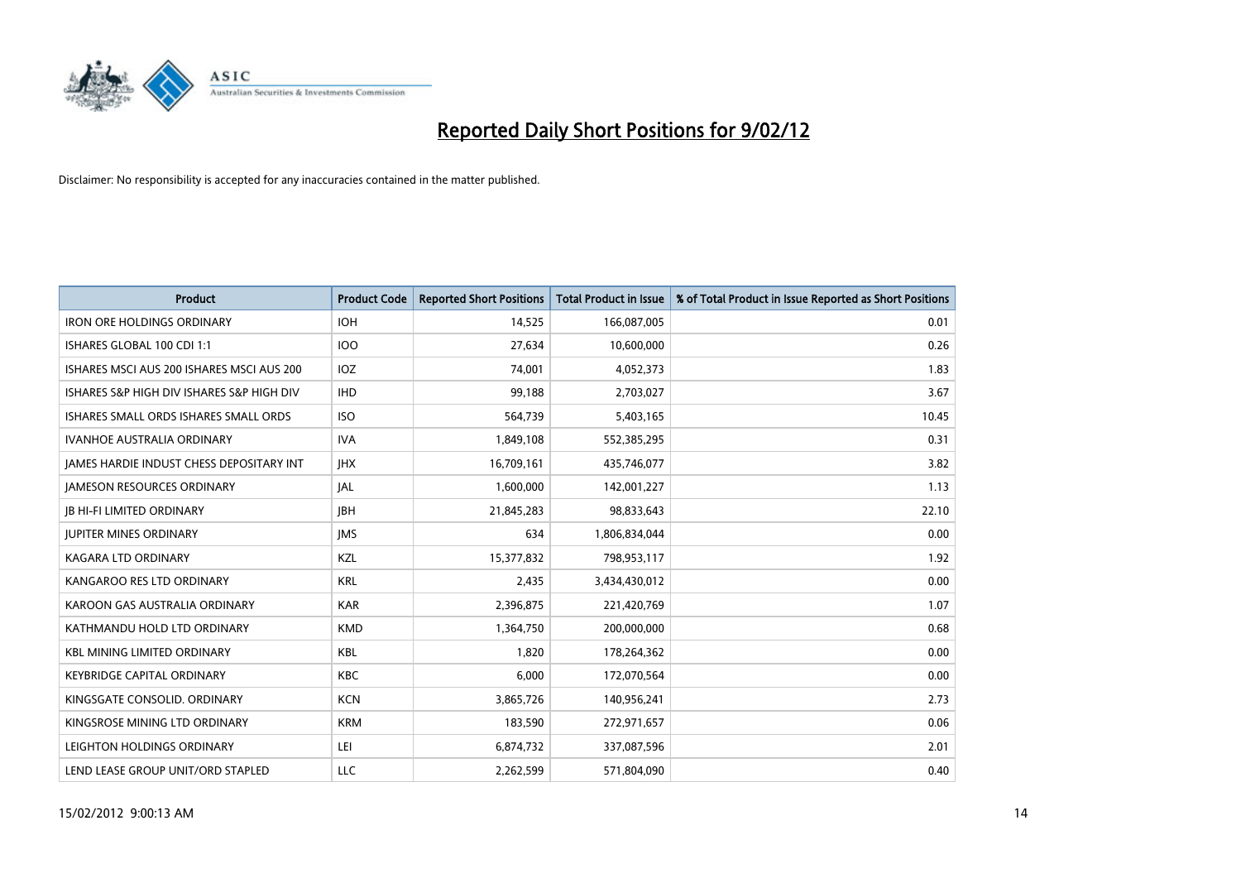

| <b>Product</b>                            | <b>Product Code</b> | <b>Reported Short Positions</b> | <b>Total Product in Issue</b> | % of Total Product in Issue Reported as Short Positions |
|-------------------------------------------|---------------------|---------------------------------|-------------------------------|---------------------------------------------------------|
| <b>IRON ORE HOLDINGS ORDINARY</b>         | <b>IOH</b>          | 14,525                          | 166,087,005                   | 0.01                                                    |
| ISHARES GLOBAL 100 CDI 1:1                | 100                 | 27,634                          | 10,600,000                    | 0.26                                                    |
| ISHARES MSCI AUS 200 ISHARES MSCI AUS 200 | <b>IOZ</b>          | 74,001                          | 4,052,373                     | 1.83                                                    |
| ISHARES S&P HIGH DIV ISHARES S&P HIGH DIV | <b>IHD</b>          | 99,188                          | 2,703,027                     | 3.67                                                    |
| ISHARES SMALL ORDS ISHARES SMALL ORDS     | <b>ISO</b>          | 564,739                         | 5,403,165                     | 10.45                                                   |
| <b>IVANHOE AUSTRALIA ORDINARY</b>         | <b>IVA</b>          | 1,849,108                       | 552,385,295                   | 0.31                                                    |
| JAMES HARDIE INDUST CHESS DEPOSITARY INT  | <b>IHX</b>          | 16,709,161                      | 435,746,077                   | 3.82                                                    |
| <b>JAMESON RESOURCES ORDINARY</b>         | IAL                 | 1,600,000                       | 142,001,227                   | 1.13                                                    |
| <b>JB HI-FI LIMITED ORDINARY</b>          | <b>JBH</b>          | 21,845,283                      | 98,833,643                    | 22.10                                                   |
| <b>JUPITER MINES ORDINARY</b>             | <b>IMS</b>          | 634                             | 1,806,834,044                 | 0.00                                                    |
| <b>KAGARA LTD ORDINARY</b>                | KZL                 | 15,377,832                      | 798,953,117                   | 1.92                                                    |
| KANGAROO RES LTD ORDINARY                 | <b>KRL</b>          | 2,435                           | 3,434,430,012                 | 0.00                                                    |
| KAROON GAS AUSTRALIA ORDINARY             | <b>KAR</b>          | 2,396,875                       | 221,420,769                   | 1.07                                                    |
| KATHMANDU HOLD LTD ORDINARY               | <b>KMD</b>          | 1,364,750                       | 200,000,000                   | 0.68                                                    |
| <b>KBL MINING LIMITED ORDINARY</b>        | <b>KBL</b>          | 1,820                           | 178,264,362                   | 0.00                                                    |
| KEYBRIDGE CAPITAL ORDINARY                | <b>KBC</b>          | 6,000                           | 172,070,564                   | 0.00                                                    |
| KINGSGATE CONSOLID. ORDINARY              | <b>KCN</b>          | 3,865,726                       | 140,956,241                   | 2.73                                                    |
| KINGSROSE MINING LTD ORDINARY             | <b>KRM</b>          | 183,590                         | 272,971,657                   | 0.06                                                    |
| LEIGHTON HOLDINGS ORDINARY                | LEI                 | 6,874,732                       | 337,087,596                   | 2.01                                                    |
| LEND LEASE GROUP UNIT/ORD STAPLED         | LLC                 | 2,262,599                       | 571,804,090                   | 0.40                                                    |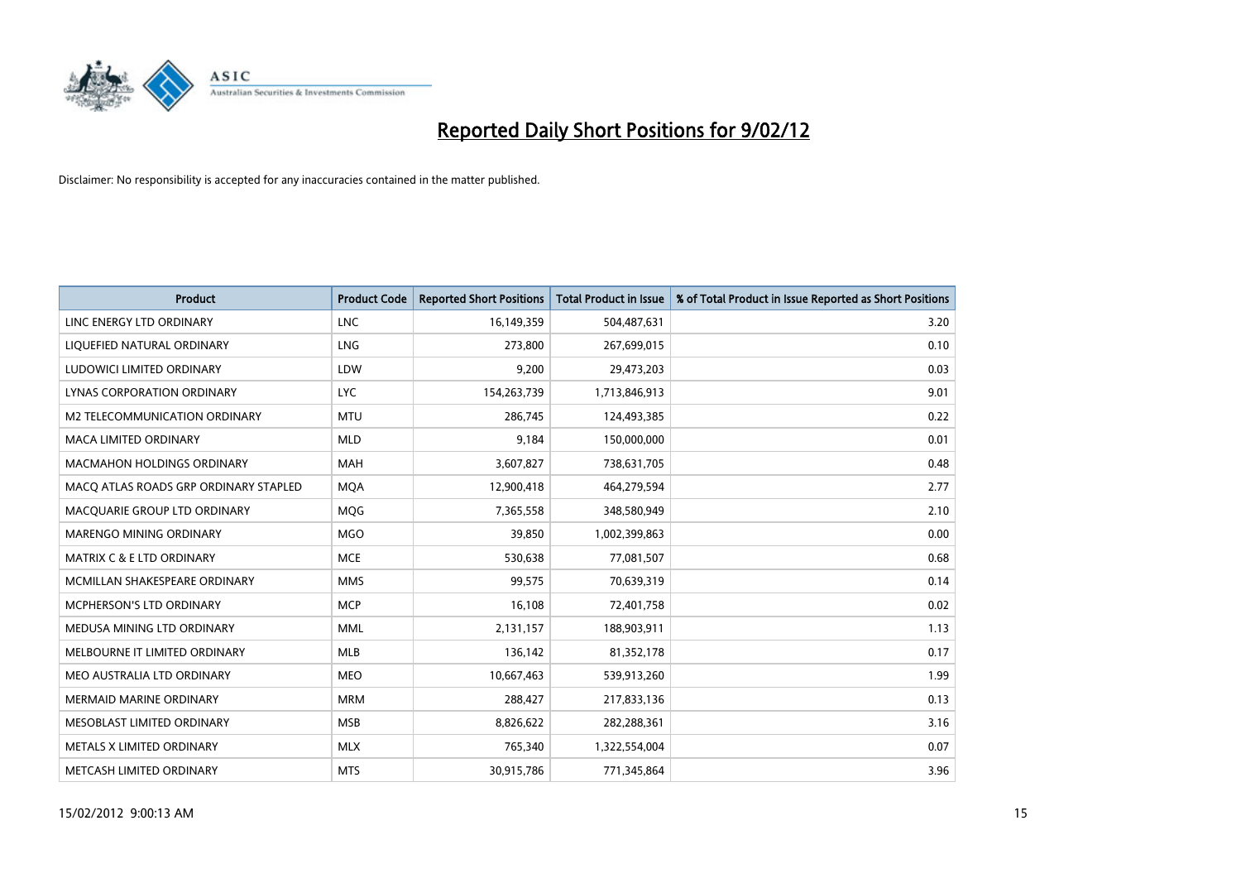

| <b>Product</b>                        | <b>Product Code</b> | <b>Reported Short Positions</b> | <b>Total Product in Issue</b> | % of Total Product in Issue Reported as Short Positions |
|---------------------------------------|---------------------|---------------------------------|-------------------------------|---------------------------------------------------------|
| LINC ENERGY LTD ORDINARY              | <b>LNC</b>          | 16,149,359                      | 504,487,631                   | 3.20                                                    |
| LIQUEFIED NATURAL ORDINARY            | <b>LNG</b>          | 273,800                         | 267,699,015                   | 0.10                                                    |
| LUDOWICI LIMITED ORDINARY             | LDW                 | 9,200                           | 29,473,203                    | 0.03                                                    |
| LYNAS CORPORATION ORDINARY            | <b>LYC</b>          | 154,263,739                     | 1,713,846,913                 | 9.01                                                    |
| M2 TELECOMMUNICATION ORDINARY         | <b>MTU</b>          | 286,745                         | 124,493,385                   | 0.22                                                    |
| <b>MACA LIMITED ORDINARY</b>          | <b>MLD</b>          | 9,184                           | 150,000,000                   | 0.01                                                    |
| <b>MACMAHON HOLDINGS ORDINARY</b>     | MAH                 | 3,607,827                       | 738,631,705                   | 0.48                                                    |
| MACO ATLAS ROADS GRP ORDINARY STAPLED | <b>MQA</b>          | 12,900,418                      | 464,279,594                   | 2.77                                                    |
| MACQUARIE GROUP LTD ORDINARY          | <b>MOG</b>          | 7,365,558                       | 348,580,949                   | 2.10                                                    |
| MARENGO MINING ORDINARY               | <b>MGO</b>          | 39,850                          | 1,002,399,863                 | 0.00                                                    |
| <b>MATRIX C &amp; E LTD ORDINARY</b>  | <b>MCE</b>          | 530,638                         | 77,081,507                    | 0.68                                                    |
| MCMILLAN SHAKESPEARE ORDINARY         | <b>MMS</b>          | 99,575                          | 70,639,319                    | 0.14                                                    |
| MCPHERSON'S LTD ORDINARY              | <b>MCP</b>          | 16,108                          | 72,401,758                    | 0.02                                                    |
| MEDUSA MINING LTD ORDINARY            | <b>MML</b>          | 2,131,157                       | 188,903,911                   | 1.13                                                    |
| MELBOURNE IT LIMITED ORDINARY         | MLB                 | 136,142                         | 81,352,178                    | 0.17                                                    |
| MEO AUSTRALIA LTD ORDINARY            | MEO                 | 10,667,463                      | 539,913,260                   | 1.99                                                    |
| MERMAID MARINE ORDINARY               | <b>MRM</b>          | 288,427                         | 217,833,136                   | 0.13                                                    |
| MESOBLAST LIMITED ORDINARY            | <b>MSB</b>          | 8,826,622                       | 282,288,361                   | 3.16                                                    |
| METALS X LIMITED ORDINARY             | <b>MLX</b>          | 765,340                         | 1,322,554,004                 | 0.07                                                    |
| METCASH LIMITED ORDINARY              | <b>MTS</b>          | 30,915,786                      | 771,345,864                   | 3.96                                                    |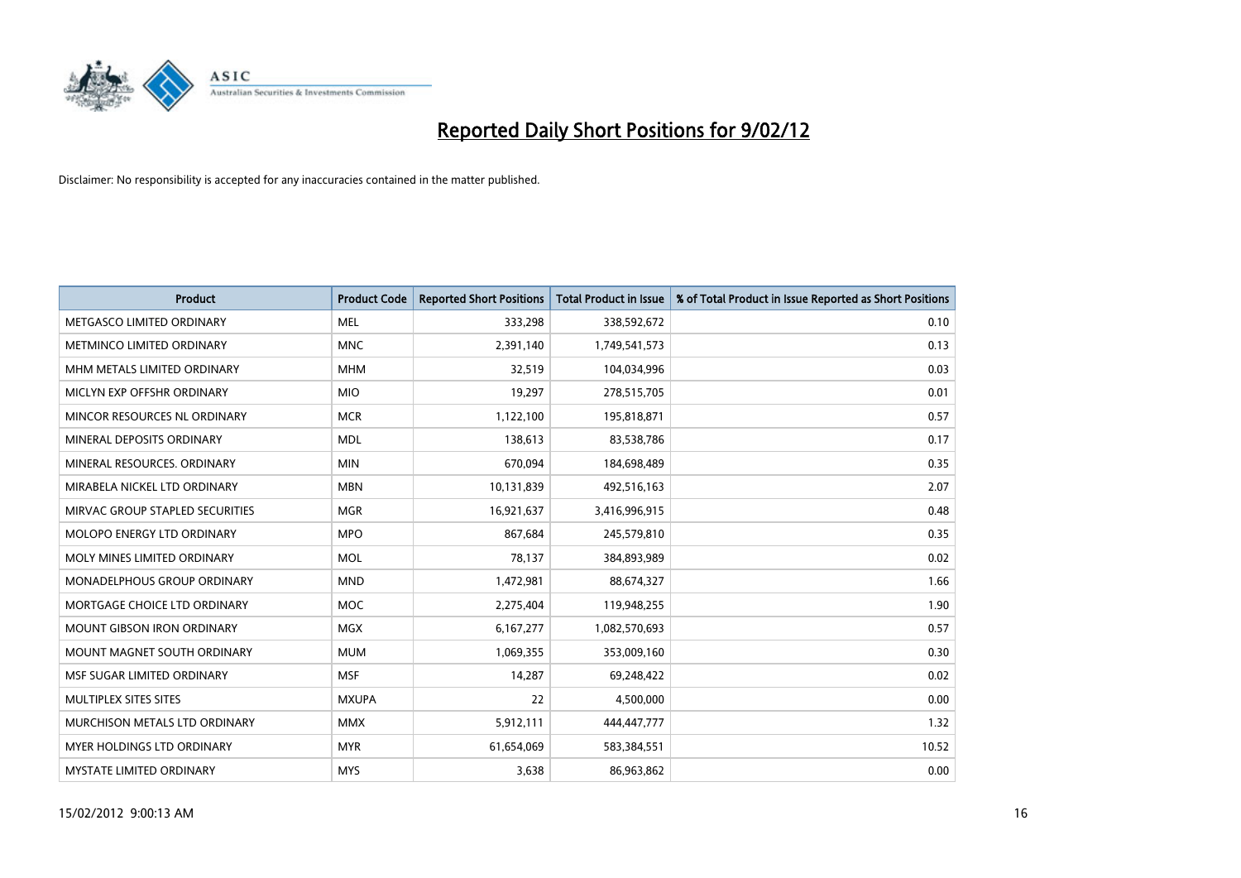

| <b>Product</b>                    | <b>Product Code</b> | <b>Reported Short Positions</b> | <b>Total Product in Issue</b> | % of Total Product in Issue Reported as Short Positions |
|-----------------------------------|---------------------|---------------------------------|-------------------------------|---------------------------------------------------------|
| METGASCO LIMITED ORDINARY         | <b>MEL</b>          | 333,298                         | 338,592,672                   | 0.10                                                    |
| METMINCO LIMITED ORDINARY         | <b>MNC</b>          | 2,391,140                       | 1,749,541,573                 | 0.13                                                    |
| MHM METALS LIMITED ORDINARY       | <b>MHM</b>          | 32,519                          | 104,034,996                   | 0.03                                                    |
| MICLYN EXP OFFSHR ORDINARY        | <b>MIO</b>          | 19,297                          | 278,515,705                   | 0.01                                                    |
| MINCOR RESOURCES NL ORDINARY      | <b>MCR</b>          | 1,122,100                       | 195,818,871                   | 0.57                                                    |
| MINERAL DEPOSITS ORDINARY         | <b>MDL</b>          | 138,613                         | 83,538,786                    | 0.17                                                    |
| MINERAL RESOURCES, ORDINARY       | <b>MIN</b>          | 670,094                         | 184,698,489                   | 0.35                                                    |
| MIRABELA NICKEL LTD ORDINARY      | <b>MBN</b>          | 10,131,839                      | 492,516,163                   | 2.07                                                    |
| MIRVAC GROUP STAPLED SECURITIES   | <b>MGR</b>          | 16,921,637                      | 3,416,996,915                 | 0.48                                                    |
| MOLOPO ENERGY LTD ORDINARY        | <b>MPO</b>          | 867,684                         | 245,579,810                   | 0.35                                                    |
| MOLY MINES LIMITED ORDINARY       | <b>MOL</b>          | 78,137                          | 384,893,989                   | 0.02                                                    |
| MONADELPHOUS GROUP ORDINARY       | <b>MND</b>          | 1,472,981                       | 88,674,327                    | 1.66                                                    |
| MORTGAGE CHOICE LTD ORDINARY      | MOC                 | 2,275,404                       | 119,948,255                   | 1.90                                                    |
| <b>MOUNT GIBSON IRON ORDINARY</b> | <b>MGX</b>          | 6,167,277                       | 1,082,570,693                 | 0.57                                                    |
| MOUNT MAGNET SOUTH ORDINARY       | <b>MUM</b>          | 1,069,355                       | 353,009,160                   | 0.30                                                    |
| MSF SUGAR LIMITED ORDINARY        | <b>MSF</b>          | 14,287                          | 69,248,422                    | 0.02                                                    |
| MULTIPLEX SITES SITES             | <b>MXUPA</b>        | 22                              | 4,500,000                     | 0.00                                                    |
| MURCHISON METALS LTD ORDINARY     | <b>MMX</b>          | 5,912,111                       | 444,447,777                   | 1.32                                                    |
| MYER HOLDINGS LTD ORDINARY        | <b>MYR</b>          | 61,654,069                      | 583,384,551                   | 10.52                                                   |
| MYSTATE LIMITED ORDINARY          | <b>MYS</b>          | 3,638                           | 86,963,862                    | 0.00                                                    |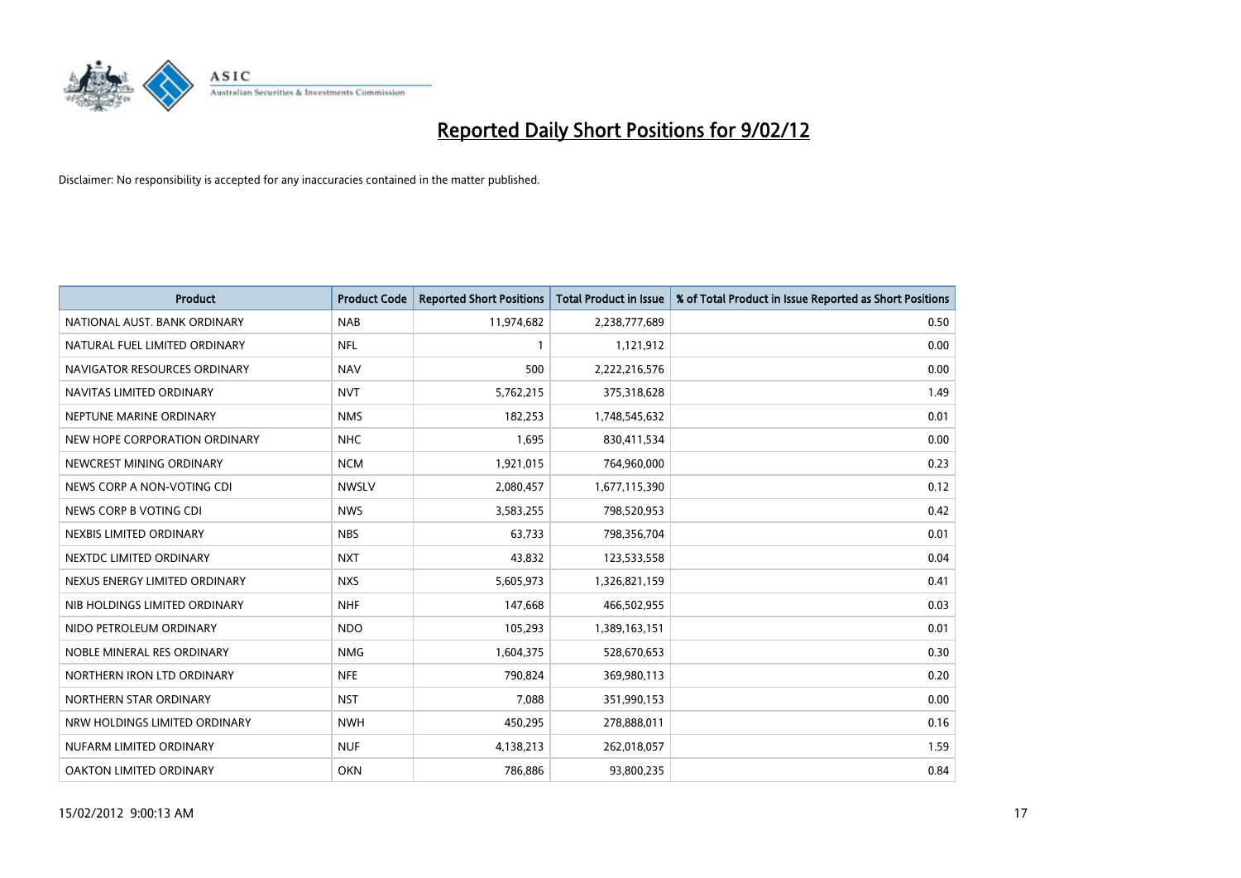

| <b>Product</b>                 | <b>Product Code</b> | <b>Reported Short Positions</b> | <b>Total Product in Issue</b> | % of Total Product in Issue Reported as Short Positions |
|--------------------------------|---------------------|---------------------------------|-------------------------------|---------------------------------------------------------|
| NATIONAL AUST, BANK ORDINARY   | <b>NAB</b>          | 11,974,682                      | 2,238,777,689                 | 0.50                                                    |
| NATURAL FUEL LIMITED ORDINARY  | <b>NFL</b>          |                                 | 1,121,912                     | 0.00                                                    |
| NAVIGATOR RESOURCES ORDINARY   | <b>NAV</b>          | 500                             | 2,222,216,576                 | 0.00                                                    |
| NAVITAS LIMITED ORDINARY       | <b>NVT</b>          | 5,762,215                       | 375,318,628                   | 1.49                                                    |
| NEPTUNE MARINE ORDINARY        | <b>NMS</b>          | 182,253                         | 1,748,545,632                 | 0.01                                                    |
| NEW HOPE CORPORATION ORDINARY  | <b>NHC</b>          | 1,695                           | 830,411,534                   | 0.00                                                    |
| NEWCREST MINING ORDINARY       | <b>NCM</b>          | 1,921,015                       | 764,960,000                   | 0.23                                                    |
| NEWS CORP A NON-VOTING CDI     | <b>NWSLV</b>        | 2,080,457                       | 1,677,115,390                 | 0.12                                                    |
| NEWS CORP B VOTING CDI         | <b>NWS</b>          | 3,583,255                       | 798,520,953                   | 0.42                                                    |
| NEXBIS LIMITED ORDINARY        | <b>NBS</b>          | 63,733                          | 798,356,704                   | 0.01                                                    |
| NEXTDC LIMITED ORDINARY        | <b>NXT</b>          | 43,832                          | 123,533,558                   | 0.04                                                    |
| NEXUS ENERGY LIMITED ORDINARY  | <b>NXS</b>          | 5,605,973                       | 1,326,821,159                 | 0.41                                                    |
| NIB HOLDINGS LIMITED ORDINARY  | <b>NHF</b>          | 147,668                         | 466,502,955                   | 0.03                                                    |
| NIDO PETROLEUM ORDINARY        | <b>NDO</b>          | 105,293                         | 1,389,163,151                 | 0.01                                                    |
| NOBLE MINERAL RES ORDINARY     | <b>NMG</b>          | 1,604,375                       | 528,670,653                   | 0.30                                                    |
| NORTHERN IRON LTD ORDINARY     | <b>NFE</b>          | 790,824                         | 369,980,113                   | 0.20                                                    |
| NORTHERN STAR ORDINARY         | <b>NST</b>          | 7,088                           | 351,990,153                   | 0.00                                                    |
| NRW HOLDINGS LIMITED ORDINARY  | <b>NWH</b>          | 450,295                         | 278,888,011                   | 0.16                                                    |
| NUFARM LIMITED ORDINARY        | <b>NUF</b>          | 4,138,213                       | 262,018,057                   | 1.59                                                    |
| <b>OAKTON LIMITED ORDINARY</b> | <b>OKN</b>          | 786,886                         | 93,800,235                    | 0.84                                                    |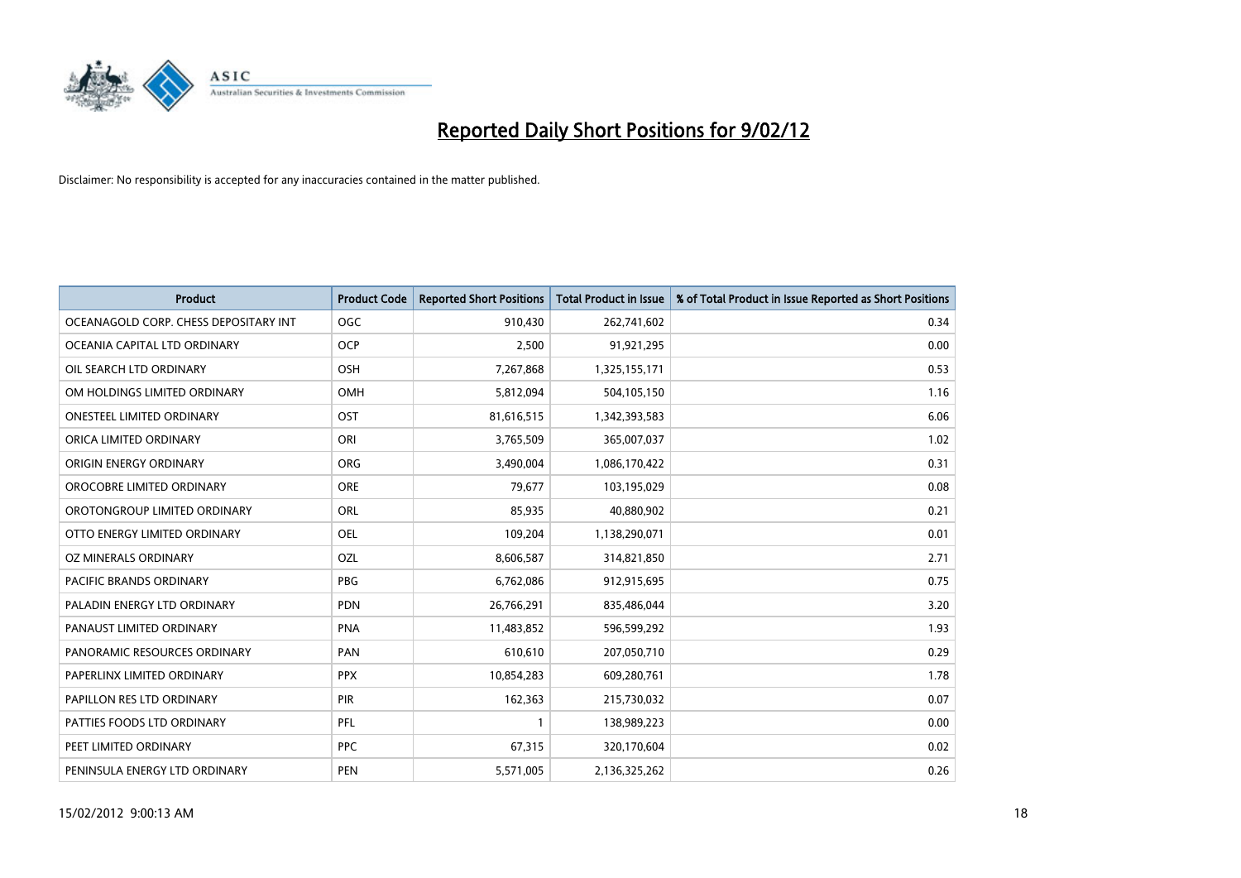

| <b>Product</b>                        | <b>Product Code</b> | <b>Reported Short Positions</b> | <b>Total Product in Issue</b> | % of Total Product in Issue Reported as Short Positions |
|---------------------------------------|---------------------|---------------------------------|-------------------------------|---------------------------------------------------------|
| OCEANAGOLD CORP. CHESS DEPOSITARY INT | <b>OGC</b>          | 910,430                         | 262,741,602                   | 0.34                                                    |
| OCEANIA CAPITAL LTD ORDINARY          | <b>OCP</b>          | 2,500                           | 91,921,295                    | 0.00                                                    |
| OIL SEARCH LTD ORDINARY               | OSH                 | 7,267,868                       | 1,325,155,171                 | 0.53                                                    |
| OM HOLDINGS LIMITED ORDINARY          | OMH                 | 5,812,094                       | 504,105,150                   | 1.16                                                    |
| <b>ONESTEEL LIMITED ORDINARY</b>      | OST                 | 81,616,515                      | 1,342,393,583                 | 6.06                                                    |
| ORICA LIMITED ORDINARY                | ORI                 | 3,765,509                       | 365,007,037                   | 1.02                                                    |
| ORIGIN ENERGY ORDINARY                | <b>ORG</b>          | 3,490,004                       | 1,086,170,422                 | 0.31                                                    |
| OROCOBRE LIMITED ORDINARY             | <b>ORE</b>          | 79,677                          | 103,195,029                   | 0.08                                                    |
| OROTONGROUP LIMITED ORDINARY          | ORL                 | 85,935                          | 40,880,902                    | 0.21                                                    |
| OTTO ENERGY LIMITED ORDINARY          | <b>OEL</b>          | 109,204                         | 1,138,290,071                 | 0.01                                                    |
| OZ MINERALS ORDINARY                  | OZL                 | 8,606,587                       | 314,821,850                   | 2.71                                                    |
| PACIFIC BRANDS ORDINARY               | <b>PBG</b>          | 6,762,086                       | 912,915,695                   | 0.75                                                    |
| PALADIN ENERGY LTD ORDINARY           | <b>PDN</b>          | 26,766,291                      | 835,486,044                   | 3.20                                                    |
| PANAUST LIMITED ORDINARY              | <b>PNA</b>          | 11,483,852                      | 596,599,292                   | 1.93                                                    |
| PANORAMIC RESOURCES ORDINARY          | PAN                 | 610,610                         | 207,050,710                   | 0.29                                                    |
| PAPERLINX LIMITED ORDINARY            | <b>PPX</b>          | 10,854,283                      | 609,280,761                   | 1.78                                                    |
| PAPILLON RES LTD ORDINARY             | PIR                 | 162,363                         | 215,730,032                   | 0.07                                                    |
| PATTIES FOODS LTD ORDINARY            | <b>PFL</b>          | 1                               | 138,989,223                   | 0.00                                                    |
| PEET LIMITED ORDINARY                 | <b>PPC</b>          | 67,315                          | 320,170,604                   | 0.02                                                    |
| PENINSULA ENERGY LTD ORDINARY         | <b>PEN</b>          | 5,571,005                       | 2,136,325,262                 | 0.26                                                    |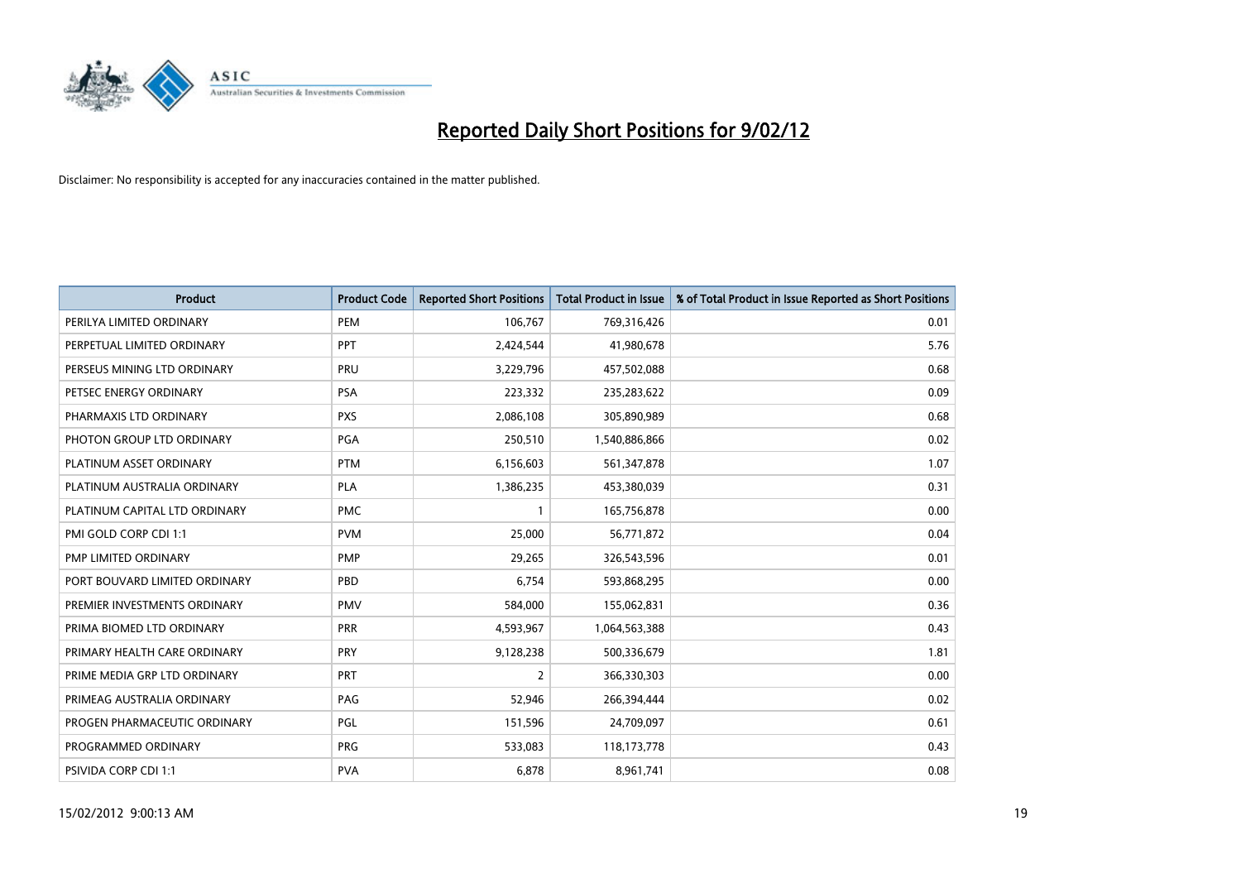

| <b>Product</b>                | <b>Product Code</b> | <b>Reported Short Positions</b> | <b>Total Product in Issue</b> | % of Total Product in Issue Reported as Short Positions |
|-------------------------------|---------------------|---------------------------------|-------------------------------|---------------------------------------------------------|
| PERILYA LIMITED ORDINARY      | PEM                 | 106,767                         | 769,316,426                   | 0.01                                                    |
| PERPETUAL LIMITED ORDINARY    | PPT                 | 2,424,544                       | 41,980,678                    | 5.76                                                    |
| PERSEUS MINING LTD ORDINARY   | PRU                 | 3,229,796                       | 457,502,088                   | 0.68                                                    |
| PETSEC ENERGY ORDINARY        | <b>PSA</b>          | 223,332                         | 235,283,622                   | 0.09                                                    |
| PHARMAXIS LTD ORDINARY        | <b>PXS</b>          | 2,086,108                       | 305,890,989                   | 0.68                                                    |
| PHOTON GROUP LTD ORDINARY     | PGA                 | 250,510                         | 1,540,886,866                 | 0.02                                                    |
| PLATINUM ASSET ORDINARY       | <b>PTM</b>          | 6,156,603                       | 561,347,878                   | 1.07                                                    |
| PLATINUM AUSTRALIA ORDINARY   | <b>PLA</b>          | 1,386,235                       | 453,380,039                   | 0.31                                                    |
| PLATINUM CAPITAL LTD ORDINARY | <b>PMC</b>          | $\mathbf 1$                     | 165,756,878                   | 0.00                                                    |
| PMI GOLD CORP CDI 1:1         | <b>PVM</b>          | 25,000                          | 56,771,872                    | 0.04                                                    |
| PMP LIMITED ORDINARY          | <b>PMP</b>          | 29,265                          | 326,543,596                   | 0.01                                                    |
| PORT BOUVARD LIMITED ORDINARY | PBD                 | 6,754                           | 593,868,295                   | 0.00                                                    |
| PREMIER INVESTMENTS ORDINARY  | <b>PMV</b>          | 584,000                         | 155,062,831                   | 0.36                                                    |
| PRIMA BIOMED LTD ORDINARY     | <b>PRR</b>          | 4,593,967                       | 1,064,563,388                 | 0.43                                                    |
| PRIMARY HEALTH CARE ORDINARY  | <b>PRY</b>          | 9,128,238                       | 500,336,679                   | 1.81                                                    |
| PRIME MEDIA GRP LTD ORDINARY  | PRT                 | $\overline{2}$                  | 366,330,303                   | 0.00                                                    |
| PRIMEAG AUSTRALIA ORDINARY    | PAG                 | 52,946                          | 266,394,444                   | 0.02                                                    |
| PROGEN PHARMACEUTIC ORDINARY  | PGL                 | 151,596                         | 24,709,097                    | 0.61                                                    |
| PROGRAMMED ORDINARY           | <b>PRG</b>          | 533,083                         | 118,173,778                   | 0.43                                                    |
| PSIVIDA CORP CDI 1:1          | <b>PVA</b>          | 6,878                           | 8,961,741                     | 0.08                                                    |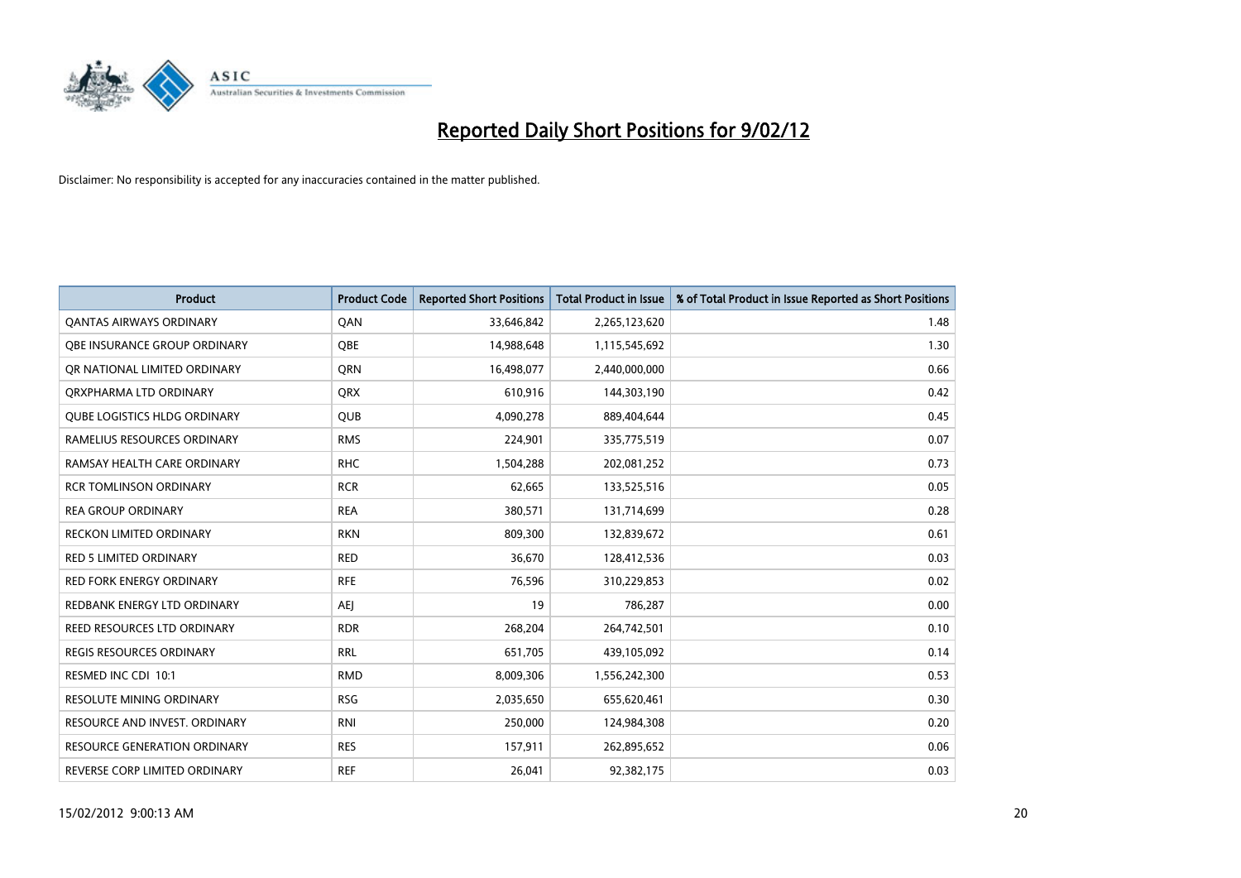

| <b>Product</b>                      | <b>Product Code</b> | <b>Reported Short Positions</b> | <b>Total Product in Issue</b> | % of Total Product in Issue Reported as Short Positions |
|-------------------------------------|---------------------|---------------------------------|-------------------------------|---------------------------------------------------------|
| <b>QANTAS AIRWAYS ORDINARY</b>      | QAN                 | 33,646,842                      | 2,265,123,620                 | 1.48                                                    |
| OBE INSURANCE GROUP ORDINARY        | QBE                 | 14,988,648                      | 1,115,545,692                 | 1.30                                                    |
| OR NATIONAL LIMITED ORDINARY        | <b>ORN</b>          | 16,498,077                      | 2,440,000,000                 | 0.66                                                    |
| ORXPHARMA LTD ORDINARY              | <b>QRX</b>          | 610,916                         | 144,303,190                   | 0.42                                                    |
| <b>OUBE LOGISTICS HLDG ORDINARY</b> | QUB                 | 4,090,278                       | 889,404,644                   | 0.45                                                    |
| RAMELIUS RESOURCES ORDINARY         | <b>RMS</b>          | 224,901                         | 335,775,519                   | 0.07                                                    |
| RAMSAY HEALTH CARE ORDINARY         | <b>RHC</b>          | 1,504,288                       | 202,081,252                   | 0.73                                                    |
| <b>RCR TOMLINSON ORDINARY</b>       | <b>RCR</b>          | 62,665                          | 133,525,516                   | 0.05                                                    |
| <b>REA GROUP ORDINARY</b>           | <b>REA</b>          | 380,571                         | 131,714,699                   | 0.28                                                    |
| <b>RECKON LIMITED ORDINARY</b>      | <b>RKN</b>          | 809,300                         | 132,839,672                   | 0.61                                                    |
| RED 5 LIMITED ORDINARY              | <b>RED</b>          | 36,670                          | 128,412,536                   | 0.03                                                    |
| <b>RED FORK ENERGY ORDINARY</b>     | <b>RFE</b>          | 76,596                          | 310,229,853                   | 0.02                                                    |
| REDBANK ENERGY LTD ORDINARY         | <b>AEJ</b>          | 19                              | 786,287                       | 0.00                                                    |
| REED RESOURCES LTD ORDINARY         | <b>RDR</b>          | 268,204                         | 264,742,501                   | 0.10                                                    |
| <b>REGIS RESOURCES ORDINARY</b>     | <b>RRL</b>          | 651,705                         | 439,105,092                   | 0.14                                                    |
| RESMED INC CDI 10:1                 | <b>RMD</b>          | 8,009,306                       | 1,556,242,300                 | 0.53                                                    |
| RESOLUTE MINING ORDINARY            | <b>RSG</b>          | 2,035,650                       | 655,620,461                   | 0.30                                                    |
| RESOURCE AND INVEST. ORDINARY       | <b>RNI</b>          | 250,000                         | 124,984,308                   | 0.20                                                    |
| <b>RESOURCE GENERATION ORDINARY</b> | <b>RES</b>          | 157,911                         | 262,895,652                   | 0.06                                                    |
| REVERSE CORP LIMITED ORDINARY       | <b>REF</b>          | 26,041                          | 92,382,175                    | 0.03                                                    |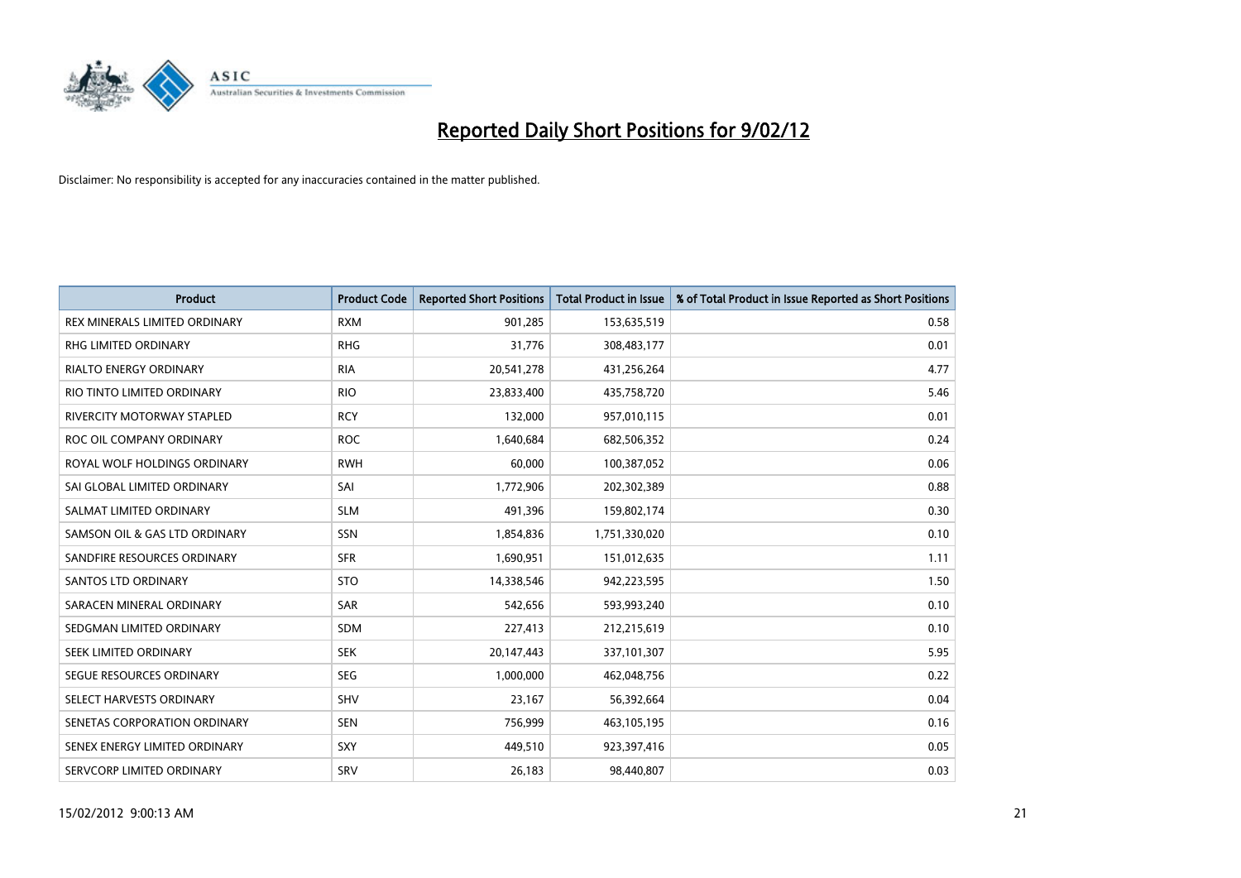

| <b>Product</b>                    | <b>Product Code</b> | <b>Reported Short Positions</b> | <b>Total Product in Issue</b> | % of Total Product in Issue Reported as Short Positions |
|-----------------------------------|---------------------|---------------------------------|-------------------------------|---------------------------------------------------------|
| REX MINERALS LIMITED ORDINARY     | <b>RXM</b>          | 901,285                         | 153,635,519                   | 0.58                                                    |
| RHG LIMITED ORDINARY              | <b>RHG</b>          | 31,776                          | 308,483,177                   | 0.01                                                    |
| <b>RIALTO ENERGY ORDINARY</b>     | <b>RIA</b>          | 20,541,278                      | 431,256,264                   | 4.77                                                    |
| RIO TINTO LIMITED ORDINARY        | <b>RIO</b>          | 23,833,400                      | 435,758,720                   | 5.46                                                    |
| <b>RIVERCITY MOTORWAY STAPLED</b> | <b>RCY</b>          | 132,000                         | 957,010,115                   | 0.01                                                    |
| ROC OIL COMPANY ORDINARY          | <b>ROC</b>          | 1,640,684                       | 682,506,352                   | 0.24                                                    |
| ROYAL WOLF HOLDINGS ORDINARY      | <b>RWH</b>          | 60,000                          | 100,387,052                   | 0.06                                                    |
| SAI GLOBAL LIMITED ORDINARY       | SAI                 | 1,772,906                       | 202,302,389                   | 0.88                                                    |
| SALMAT LIMITED ORDINARY           | <b>SLM</b>          | 491,396                         | 159,802,174                   | 0.30                                                    |
| SAMSON OIL & GAS LTD ORDINARY     | SSN                 | 1,854,836                       | 1,751,330,020                 | 0.10                                                    |
| SANDFIRE RESOURCES ORDINARY       | <b>SFR</b>          | 1,690,951                       | 151,012,635                   | 1.11                                                    |
| <b>SANTOS LTD ORDINARY</b>        | <b>STO</b>          | 14,338,546                      | 942,223,595                   | 1.50                                                    |
| SARACEN MINERAL ORDINARY          | SAR                 | 542,656                         | 593,993,240                   | 0.10                                                    |
| SEDGMAN LIMITED ORDINARY          | SDM                 | 227,413                         | 212,215,619                   | 0.10                                                    |
| SEEK LIMITED ORDINARY             | <b>SEK</b>          | 20,147,443                      | 337,101,307                   | 5.95                                                    |
| SEGUE RESOURCES ORDINARY          | <b>SEG</b>          | 1,000,000                       | 462,048,756                   | 0.22                                                    |
| SELECT HARVESTS ORDINARY          | SHV                 | 23,167                          | 56,392,664                    | 0.04                                                    |
| SENETAS CORPORATION ORDINARY      | <b>SEN</b>          | 756,999                         | 463,105,195                   | 0.16                                                    |
| SENEX ENERGY LIMITED ORDINARY     | <b>SXY</b>          | 449,510                         | 923,397,416                   | 0.05                                                    |
| SERVCORP LIMITED ORDINARY         | SRV                 | 26,183                          | 98,440,807                    | 0.03                                                    |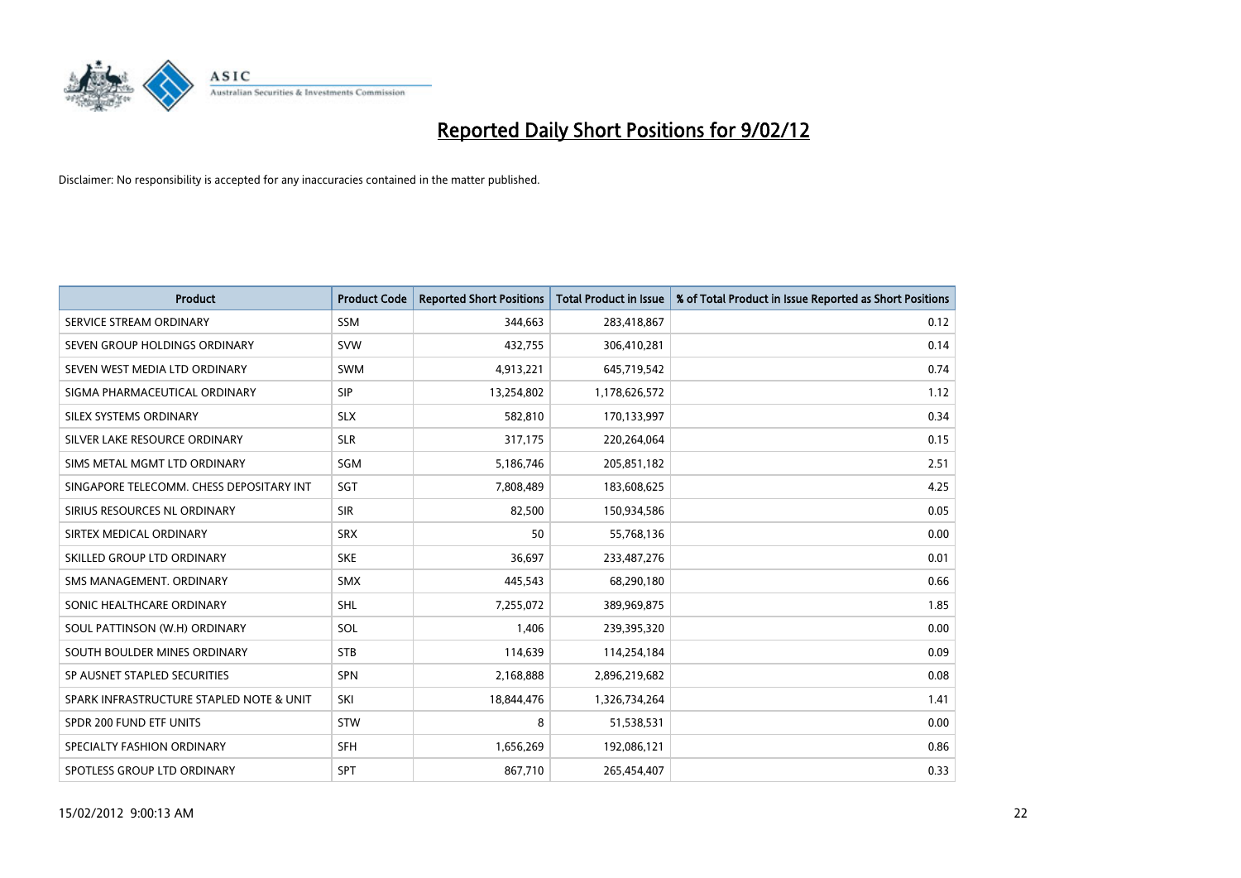

| <b>Product</b>                           | <b>Product Code</b> | <b>Reported Short Positions</b> | <b>Total Product in Issue</b> | % of Total Product in Issue Reported as Short Positions |
|------------------------------------------|---------------------|---------------------------------|-------------------------------|---------------------------------------------------------|
| SERVICE STREAM ORDINARY                  | <b>SSM</b>          | 344,663                         | 283,418,867                   | 0.12                                                    |
| SEVEN GROUP HOLDINGS ORDINARY            | <b>SVW</b>          | 432,755                         | 306,410,281                   | 0.14                                                    |
| SEVEN WEST MEDIA LTD ORDINARY            | <b>SWM</b>          | 4,913,221                       | 645,719,542                   | 0.74                                                    |
| SIGMA PHARMACEUTICAL ORDINARY            | <b>SIP</b>          | 13,254,802                      | 1,178,626,572                 | 1.12                                                    |
| SILEX SYSTEMS ORDINARY                   | <b>SLX</b>          | 582,810                         | 170,133,997                   | 0.34                                                    |
| SILVER LAKE RESOURCE ORDINARY            | <b>SLR</b>          | 317,175                         | 220,264,064                   | 0.15                                                    |
| SIMS METAL MGMT LTD ORDINARY             | SGM                 | 5,186,746                       | 205,851,182                   | 2.51                                                    |
| SINGAPORE TELECOMM. CHESS DEPOSITARY INT | SGT                 | 7,808,489                       | 183,608,625                   | 4.25                                                    |
| SIRIUS RESOURCES NL ORDINARY             | <b>SIR</b>          | 82,500                          | 150,934,586                   | 0.05                                                    |
| SIRTEX MEDICAL ORDINARY                  | <b>SRX</b>          | 50                              | 55,768,136                    | 0.00                                                    |
| SKILLED GROUP LTD ORDINARY               | <b>SKE</b>          | 36,697                          | 233,487,276                   | 0.01                                                    |
| SMS MANAGEMENT. ORDINARY                 | <b>SMX</b>          | 445,543                         | 68,290,180                    | 0.66                                                    |
| SONIC HEALTHCARE ORDINARY                | SHL                 | 7,255,072                       | 389,969,875                   | 1.85                                                    |
| SOUL PATTINSON (W.H) ORDINARY            | SOL                 | 1,406                           | 239,395,320                   | 0.00                                                    |
| SOUTH BOULDER MINES ORDINARY             | <b>STB</b>          | 114,639                         | 114,254,184                   | 0.09                                                    |
| SP AUSNET STAPLED SECURITIES             | SPN                 | 2,168,888                       | 2,896,219,682                 | 0.08                                                    |
| SPARK INFRASTRUCTURE STAPLED NOTE & UNIT | SKI                 | 18,844,476                      | 1,326,734,264                 | 1.41                                                    |
| SPDR 200 FUND ETF UNITS                  | <b>STW</b>          | 8                               | 51,538,531                    | 0.00                                                    |
| SPECIALTY FASHION ORDINARY               | <b>SFH</b>          | 1,656,269                       | 192,086,121                   | 0.86                                                    |
| SPOTLESS GROUP LTD ORDINARY              | <b>SPT</b>          | 867,710                         | 265,454,407                   | 0.33                                                    |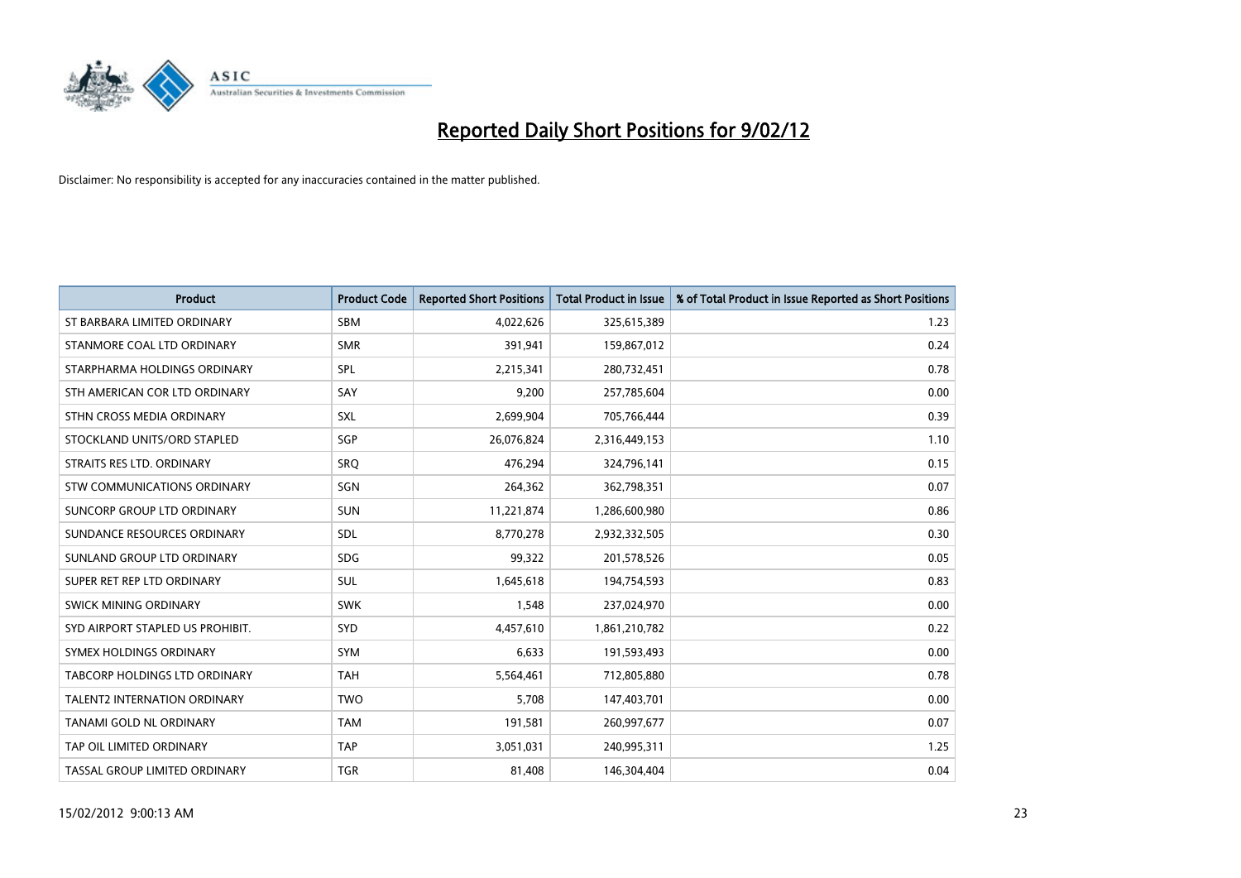

| <b>Product</b>                   | <b>Product Code</b> | <b>Reported Short Positions</b> | <b>Total Product in Issue</b> | % of Total Product in Issue Reported as Short Positions |
|----------------------------------|---------------------|---------------------------------|-------------------------------|---------------------------------------------------------|
| ST BARBARA LIMITED ORDINARY      | <b>SBM</b>          | 4,022,626                       | 325,615,389                   | 1.23                                                    |
| STANMORE COAL LTD ORDINARY       | <b>SMR</b>          | 391,941                         | 159,867,012                   | 0.24                                                    |
| STARPHARMA HOLDINGS ORDINARY     | SPL                 | 2,215,341                       | 280,732,451                   | 0.78                                                    |
| STH AMERICAN COR LTD ORDINARY    | SAY                 | 9,200                           | 257,785,604                   | 0.00                                                    |
| STHN CROSS MEDIA ORDINARY        | SXL                 | 2,699,904                       | 705,766,444                   | 0.39                                                    |
| STOCKLAND UNITS/ORD STAPLED      | SGP                 | 26,076,824                      | 2,316,449,153                 | 1.10                                                    |
| STRAITS RES LTD. ORDINARY        | <b>SRO</b>          | 476,294                         | 324,796,141                   | 0.15                                                    |
| STW COMMUNICATIONS ORDINARY      | SGN                 | 264,362                         | 362,798,351                   | 0.07                                                    |
| SUNCORP GROUP LTD ORDINARY       | <b>SUN</b>          | 11,221,874                      | 1,286,600,980                 | 0.86                                                    |
| SUNDANCE RESOURCES ORDINARY      | <b>SDL</b>          | 8,770,278                       | 2,932,332,505                 | 0.30                                                    |
| SUNLAND GROUP LTD ORDINARY       | <b>SDG</b>          | 99,322                          | 201,578,526                   | 0.05                                                    |
| SUPER RET REP LTD ORDINARY       | SUL                 | 1,645,618                       | 194,754,593                   | 0.83                                                    |
| SWICK MINING ORDINARY            | <b>SWK</b>          | 1,548                           | 237,024,970                   | 0.00                                                    |
| SYD AIRPORT STAPLED US PROHIBIT. | <b>SYD</b>          | 4,457,610                       | 1,861,210,782                 | 0.22                                                    |
| SYMEX HOLDINGS ORDINARY          | SYM                 | 6,633                           | 191,593,493                   | 0.00                                                    |
| TABCORP HOLDINGS LTD ORDINARY    | <b>TAH</b>          | 5,564,461                       | 712,805,880                   | 0.78                                                    |
| TALENT2 INTERNATION ORDINARY     | <b>TWO</b>          | 5,708                           | 147,403,701                   | 0.00                                                    |
| TANAMI GOLD NL ORDINARY          | <b>TAM</b>          | 191,581                         | 260,997,677                   | 0.07                                                    |
| TAP OIL LIMITED ORDINARY         | <b>TAP</b>          | 3,051,031                       | 240,995,311                   | 1.25                                                    |
| TASSAL GROUP LIMITED ORDINARY    | <b>TGR</b>          | 81,408                          | 146,304,404                   | 0.04                                                    |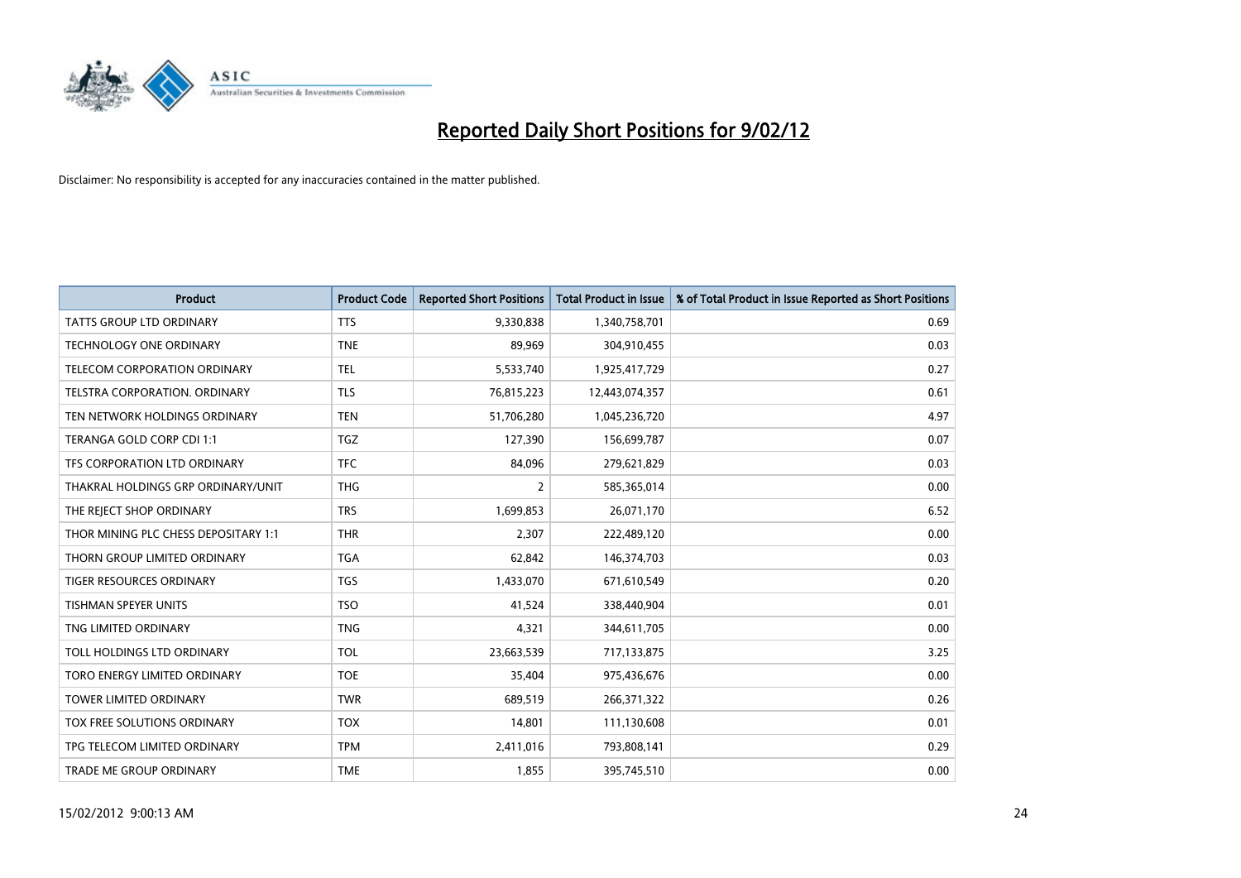

| <b>Product</b>                       | <b>Product Code</b> | <b>Reported Short Positions</b> | <b>Total Product in Issue</b> | % of Total Product in Issue Reported as Short Positions |
|--------------------------------------|---------------------|---------------------------------|-------------------------------|---------------------------------------------------------|
| <b>TATTS GROUP LTD ORDINARY</b>      | <b>TTS</b>          | 9,330,838                       | 1,340,758,701                 | 0.69                                                    |
| <b>TECHNOLOGY ONE ORDINARY</b>       | <b>TNE</b>          | 89,969                          | 304,910,455                   | 0.03                                                    |
| TELECOM CORPORATION ORDINARY         | <b>TEL</b>          | 5,533,740                       | 1,925,417,729                 | 0.27                                                    |
| TELSTRA CORPORATION, ORDINARY        | <b>TLS</b>          | 76,815,223                      | 12,443,074,357                | 0.61                                                    |
| TEN NETWORK HOLDINGS ORDINARY        | <b>TEN</b>          | 51,706,280                      | 1,045,236,720                 | 4.97                                                    |
| TERANGA GOLD CORP CDI 1:1            | <b>TGZ</b>          | 127,390                         | 156,699,787                   | 0.07                                                    |
| TFS CORPORATION LTD ORDINARY         | <b>TFC</b>          | 84,096                          | 279,621,829                   | 0.03                                                    |
| THAKRAL HOLDINGS GRP ORDINARY/UNIT   | <b>THG</b>          | $\overline{2}$                  | 585,365,014                   | 0.00                                                    |
| THE REJECT SHOP ORDINARY             | <b>TRS</b>          | 1,699,853                       | 26,071,170                    | 6.52                                                    |
| THOR MINING PLC CHESS DEPOSITARY 1:1 | <b>THR</b>          | 2,307                           | 222,489,120                   | 0.00                                                    |
| THORN GROUP LIMITED ORDINARY         | <b>TGA</b>          | 62,842                          | 146,374,703                   | 0.03                                                    |
| <b>TIGER RESOURCES ORDINARY</b>      | <b>TGS</b>          | 1,433,070                       | 671,610,549                   | 0.20                                                    |
| TISHMAN SPEYER UNITS                 | <b>TSO</b>          | 41,524                          | 338,440,904                   | 0.01                                                    |
| TNG LIMITED ORDINARY                 | <b>TNG</b>          | 4,321                           | 344,611,705                   | 0.00                                                    |
| TOLL HOLDINGS LTD ORDINARY           | <b>TOL</b>          | 23,663,539                      | 717,133,875                   | 3.25                                                    |
| TORO ENERGY LIMITED ORDINARY         | <b>TOE</b>          | 35,404                          | 975,436,676                   | 0.00                                                    |
| TOWER LIMITED ORDINARY               | <b>TWR</b>          | 689,519                         | 266,371,322                   | 0.26                                                    |
| TOX FREE SOLUTIONS ORDINARY          | <b>TOX</b>          | 14,801                          | 111,130,608                   | 0.01                                                    |
| TPG TELECOM LIMITED ORDINARY         | <b>TPM</b>          | 2,411,016                       | 793,808,141                   | 0.29                                                    |
| TRADE ME GROUP ORDINARY              | <b>TME</b>          | 1,855                           | 395,745,510                   | 0.00                                                    |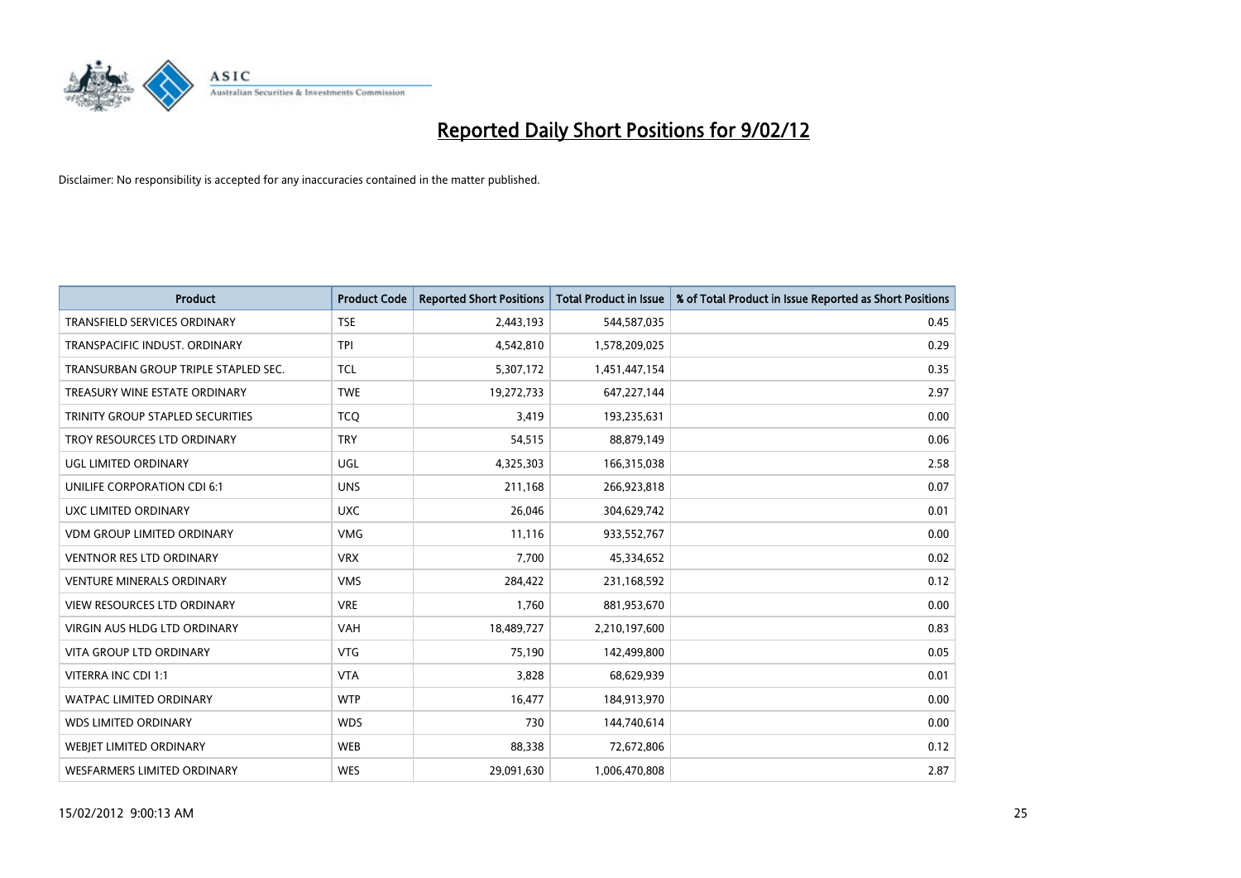

| <b>Product</b>                          | <b>Product Code</b> | <b>Reported Short Positions</b> | <b>Total Product in Issue</b> | % of Total Product in Issue Reported as Short Positions |
|-----------------------------------------|---------------------|---------------------------------|-------------------------------|---------------------------------------------------------|
| <b>TRANSFIELD SERVICES ORDINARY</b>     | <b>TSE</b>          | 2,443,193                       | 544,587,035                   | 0.45                                                    |
| TRANSPACIFIC INDUST. ORDINARY           | TPI                 | 4,542,810                       | 1,578,209,025                 | 0.29                                                    |
| TRANSURBAN GROUP TRIPLE STAPLED SEC.    | <b>TCL</b>          | 5,307,172                       | 1,451,447,154                 | 0.35                                                    |
| TREASURY WINE ESTATE ORDINARY           | <b>TWE</b>          | 19,272,733                      | 647,227,144                   | 2.97                                                    |
| <b>TRINITY GROUP STAPLED SECURITIES</b> | <b>TCO</b>          | 3,419                           | 193,235,631                   | 0.00                                                    |
| TROY RESOURCES LTD ORDINARY             | <b>TRY</b>          | 54,515                          | 88,879,149                    | 0.06                                                    |
| UGL LIMITED ORDINARY                    | UGL                 | 4,325,303                       | 166,315,038                   | 2.58                                                    |
| UNILIFE CORPORATION CDI 6:1             | <b>UNS</b>          | 211,168                         | 266,923,818                   | 0.07                                                    |
| <b>UXC LIMITED ORDINARY</b>             | <b>UXC</b>          | 26,046                          | 304,629,742                   | 0.01                                                    |
| <b>VDM GROUP LIMITED ORDINARY</b>       | <b>VMG</b>          | 11,116                          | 933,552,767                   | 0.00                                                    |
| VENTNOR RES LTD ORDINARY                | <b>VRX</b>          | 7,700                           | 45,334,652                    | 0.02                                                    |
| <b>VENTURE MINERALS ORDINARY</b>        | <b>VMS</b>          | 284,422                         | 231,168,592                   | 0.12                                                    |
| VIEW RESOURCES LTD ORDINARY             | <b>VRE</b>          | 1,760                           | 881,953,670                   | 0.00                                                    |
| <b>VIRGIN AUS HLDG LTD ORDINARY</b>     | <b>VAH</b>          | 18,489,727                      | 2,210,197,600                 | 0.83                                                    |
| <b>VITA GROUP LTD ORDINARY</b>          | <b>VTG</b>          | 75,190                          | 142,499,800                   | 0.05                                                    |
| VITERRA INC CDI 1:1                     | <b>VTA</b>          | 3,828                           | 68,629,939                    | 0.01                                                    |
| WATPAC LIMITED ORDINARY                 | <b>WTP</b>          | 16,477                          | 184,913,970                   | 0.00                                                    |
| <b>WDS LIMITED ORDINARY</b>             | <b>WDS</b>          | 730                             | 144,740,614                   | 0.00                                                    |
| WEBJET LIMITED ORDINARY                 | <b>WEB</b>          | 88,338                          | 72,672,806                    | 0.12                                                    |
| WESFARMERS LIMITED ORDINARY             | <b>WES</b>          | 29,091,630                      | 1,006,470,808                 | 2.87                                                    |